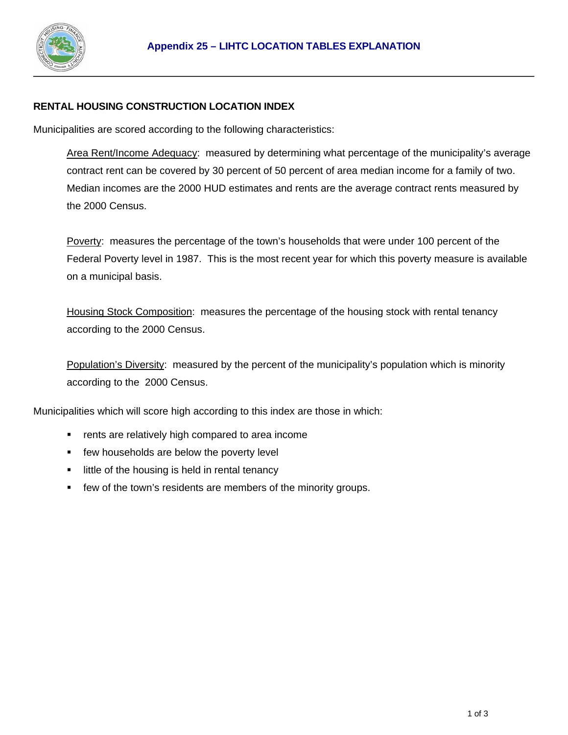

#### **RENTAL HOUSING CONSTRUCTION LOCATION INDEX**

Municipalities are scored according to the following characteristics:

Area Rent/Income Adequacy: measured by determining what percentage of the municipality's average contract rent can be covered by 30 percent of 50 percent of area median income for a family of two. Median incomes are the 2000 HUD estimates and rents are the average contract rents measured by the 2000 Census.

Poverty: measures the percentage of the town's households that were under 100 percent of the Federal Poverty level in 1987. This is the most recent year for which this poverty measure is available on a municipal basis.

Housing Stock Composition: measures the percentage of the housing stock with rental tenancy according to the 2000 Census.

Population's Diversity: measured by the percent of the municipality's population which is minority according to the 2000 Census.

Municipalities which will score high according to this index are those in which:

- rents are relatively high compared to area income
- **F** few households are below the poverty level
- **If it is not interefally** is held in rental tenancy
- few of the town's residents are members of the minority groups.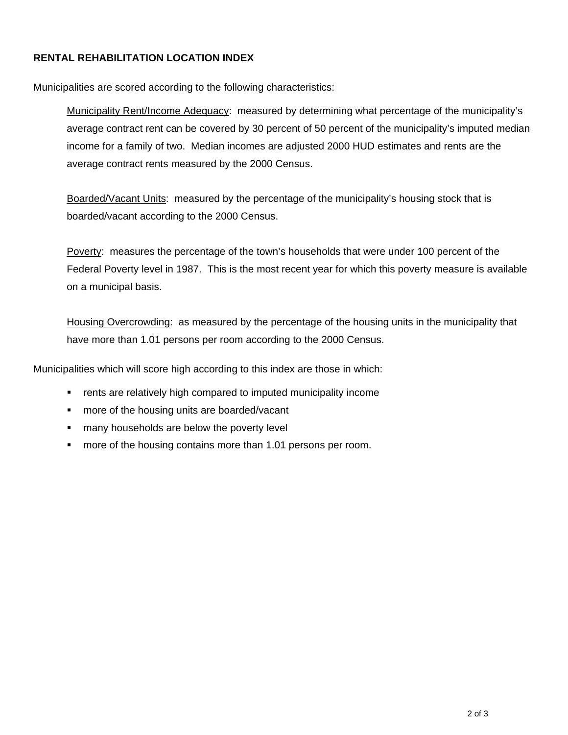#### **RENTAL REHABILITATION LOCATION INDEX**

Municipalities are scored according to the following characteristics:

Municipality Rent/Income Adequacy: measured by determining what percentage of the municipality's average contract rent can be covered by 30 percent of 50 percent of the municipality's imputed median income for a family of two. Median incomes are adjusted 2000 HUD estimates and rents are the average contract rents measured by the 2000 Census.

Boarded/Vacant Units: measured by the percentage of the municipality's housing stock that is boarded/vacant according to the 2000 Census.

Poverty: measures the percentage of the town's households that were under 100 percent of the Federal Poverty level in 1987. This is the most recent year for which this poverty measure is available on a municipal basis.

Housing Overcrowding: as measured by the percentage of the housing units in the municipality that have more than 1.01 persons per room according to the 2000 Census.

Municipalities which will score high according to this index are those in which:

- **F** rents are relatively high compared to imputed municipality income
- **number** more of the housing units are boarded/vacant
- **numany households are below the poverty level**
- **number** more of the housing contains more than 1.01 persons per room.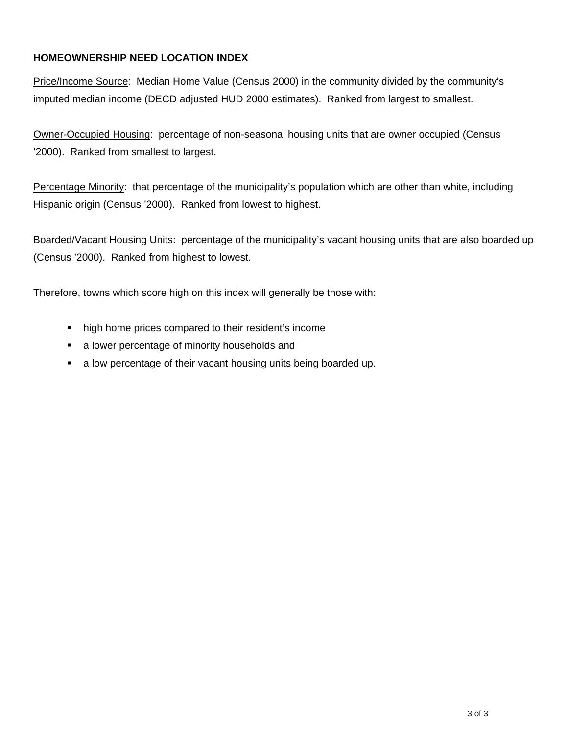### **HOMEOWNERSHIP NEED LOCATION INDEX**

Price/Income Source: Median Home Value (Census 2000) in the community divided by the community's imputed median income (DECD adjusted HUD 2000 estimates). Ranked from largest to smallest.

Owner-Occupied Housing: percentage of non-seasonal housing units that are owner occupied (Census '2000). Ranked from smallest to largest.

Percentage Minority: that percentage of the municipality's population which are other than white, including Hispanic origin (Census '2000). Ranked from lowest to highest.

Boarded/Vacant Housing Units: percentage of the municipality's vacant housing units that are also boarded up (Census '2000). Ranked from highest to lowest.

Therefore, towns which score high on this index will generally be those with:

- high home prices compared to their resident's income
- **a** lower percentage of minority households and
- a low percentage of their vacant housing units being boarded up.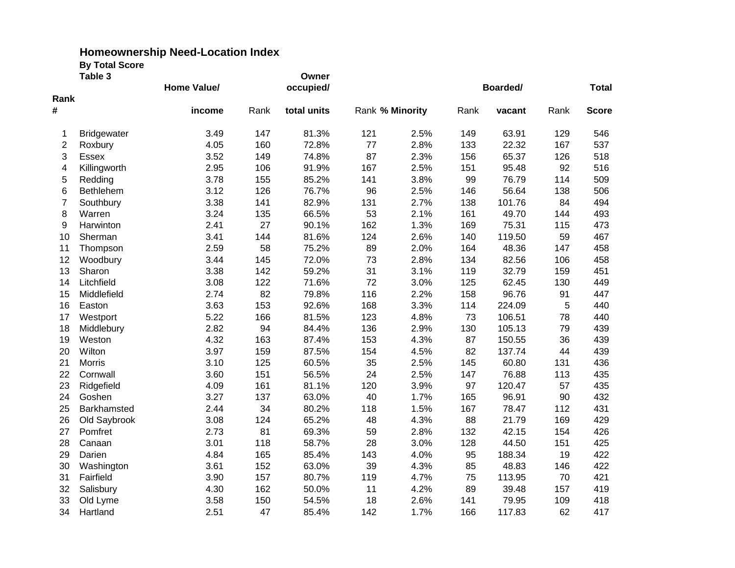|                | Table 3            |                    |      | Owner       |                 |      |      |          |      |              |
|----------------|--------------------|--------------------|------|-------------|-----------------|------|------|----------|------|--------------|
|                |                    | <b>Home Value/</b> |      | occupied/   |                 |      |      | Boarded/ |      | <b>Total</b> |
| Rank           |                    |                    |      |             |                 |      |      |          |      |              |
| #              |                    | income             | Rank | total units | Rank % Minority |      | Rank | vacant   | Rank | <b>Score</b> |
| 1              | <b>Bridgewater</b> | 3.49               | 147  | 81.3%       | 121             | 2.5% | 149  | 63.91    | 129  | 546          |
| $\overline{2}$ | Roxbury            | 4.05               | 160  | 72.8%       | 77              | 2.8% | 133  | 22.32    | 167  | 537          |
| 3              | <b>Essex</b>       | 3.52               | 149  | 74.8%       | 87              | 2.3% | 156  | 65.37    | 126  | 518          |
| 4              | Killingworth       | 2.95               | 106  | 91.9%       | 167             | 2.5% | 151  | 95.48    | 92   | 516          |
| 5              | Redding            | 3.78               | 155  | 85.2%       | 141             | 3.8% | 99   | 76.79    | 114  | 509          |
| 6              | Bethlehem          | 3.12               | 126  | 76.7%       | 96              | 2.5% | 146  | 56.64    | 138  | 506          |
| $\overline{7}$ | Southbury          | 3.38               | 141  | 82.9%       | 131             | 2.7% | 138  | 101.76   | 84   | 494          |
| 8              | Warren             | 3.24               | 135  | 66.5%       | 53              | 2.1% | 161  | 49.70    | 144  | 493          |
| 9              | Harwinton          | 2.41               | 27   | 90.1%       | 162             | 1.3% | 169  | 75.31    | 115  | 473          |
| 10             | Sherman            | 3.41               | 144  | 81.6%       | 124             | 2.6% | 140  | 119.50   | 59   | 467          |
| 11             | Thompson           | 2.59               | 58   | 75.2%       | 89              | 2.0% | 164  | 48.36    | 147  | 458          |
| 12             | Woodbury           | 3.44               | 145  | 72.0%       | 73              | 2.8% | 134  | 82.56    | 106  | 458          |
| 13             | Sharon             | 3.38               | 142  | 59.2%       | 31              | 3.1% | 119  | 32.79    | 159  | 451          |
| 14             | Litchfield         | 3.08               | 122  | 71.6%       | 72              | 3.0% | 125  | 62.45    | 130  | 449          |
| 15             | Middlefield        | 2.74               | 82   | 79.8%       | 116             | 2.2% | 158  | 96.76    | 91   | 447          |
| 16             | Easton             | 3.63               | 153  | 92.6%       | 168             | 3.3% | 114  | 224.09   | 5    | 440          |
| 17             | Westport           | 5.22               | 166  | 81.5%       | 123             | 4.8% | 73   | 106.51   | 78   | 440          |
| 18             | Middlebury         | 2.82               | 94   | 84.4%       | 136             | 2.9% | 130  | 105.13   | 79   | 439          |
| 19             | Weston             | 4.32               | 163  | 87.4%       | 153             | 4.3% | 87   | 150.55   | 36   | 439          |
| 20             | Wilton             | 3.97               | 159  | 87.5%       | 154             | 4.5% | 82   | 137.74   | 44   | 439          |
| 21             | <b>Morris</b>      | 3.10               | 125  | 60.5%       | 35              | 2.5% | 145  | 60.80    | 131  | 436          |
| 22             | Cornwall           | 3.60               | 151  | 56.5%       | 24              | 2.5% | 147  | 76.88    | 113  | 435          |
| 23             | Ridgefield         | 4.09               | 161  | 81.1%       | 120             | 3.9% | 97   | 120.47   | 57   | 435          |
| 24             | Goshen             | 3.27               | 137  | 63.0%       | 40              | 1.7% | 165  | 96.91    | 90   | 432          |
| 25             | Barkhamsted        | 2.44               | 34   | 80.2%       | 118             | 1.5% | 167  | 78.47    | 112  | 431          |
| 26             | Old Saybrook       | 3.08               | 124  | 65.2%       | 48              | 4.3% | 88   | 21.79    | 169  | 429          |
| 27             | Pomfret            | 2.73               | 81   | 69.3%       | 59              | 2.8% | 132  | 42.15    | 154  | 426          |
| 28             | Canaan             | 3.01               | 118  | 58.7%       | 28              | 3.0% | 128  | 44.50    | 151  | 425          |
| 29             | Darien             | 4.84               | 165  | 85.4%       | 143             | 4.0% | 95   | 188.34   | 19   | 422          |
| 30             | Washington         | 3.61               | 152  | 63.0%       | 39              | 4.3% | 85   | 48.83    | 146  | 422          |
| 31             | Fairfield          | 3.90               | 157  | 80.7%       | 119             | 4.7% | 75   | 113.95   | 70   | 421          |
| 32             | Salisbury          | 4.30               | 162  | 50.0%       | 11              | 4.2% | 89   | 39.48    | 157  | 419          |
| 33             | Old Lyme           | 3.58               | 150  | 54.5%       | 18              | 2.6% | 141  | 79.95    | 109  | 418          |
| 34             | Hartland           | 2.51               | 47   | 85.4%       | 142             | 1.7% | 166  | 117.83   | 62   | 417          |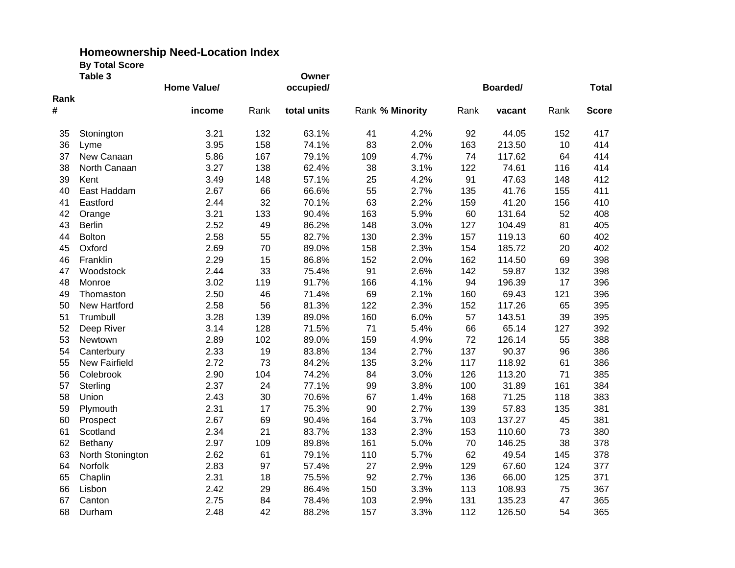|      | Table 3              |             |      | Owner       |                 |      |      |        |      |              |
|------|----------------------|-------------|------|-------------|-----------------|------|------|--------|------|--------------|
|      |                      | Home Value/ |      | occupied/   |                 |      |      |        |      | <b>Total</b> |
| Rank |                      |             |      |             |                 |      |      |        |      |              |
| #    |                      | income      | Rank | total units | Rank % Minority |      | Rank | vacant | Rank | <b>Score</b> |
| 35   | Stonington           | 3.21        | 132  | 63.1%       | 41              | 4.2% | 92   | 44.05  | 152  | 417          |
| 36   | Lyme                 | 3.95        | 158  | 74.1%       | 83              | 2.0% | 163  | 213.50 | 10   | 414          |
| 37   | New Canaan           | 5.86        | 167  | 79.1%       | 109             | 4.7% | 74   | 117.62 | 64   | 414          |
| 38   | North Canaan         | 3.27        | 138  | 62.4%       | 38              | 3.1% | 122  | 74.61  | 116  | 414          |
| 39   | Kent                 | 3.49        | 148  | 57.1%       | 25              | 4.2% | 91   | 47.63  | 148  | 412          |
| 40   | East Haddam          | 2.67        | 66   | 66.6%       | 55              | 2.7% | 135  | 41.76  | 155  | 411          |
| 41   | Eastford             | 2.44        | 32   | 70.1%       | 63              | 2.2% | 159  | 41.20  | 156  | 410          |
| 42   | Orange               | 3.21        | 133  | 90.4%       | 163             | 5.9% | 60   | 131.64 | 52   | 408          |
| 43   | <b>Berlin</b>        | 2.52        | 49   | 86.2%       | 148             | 3.0% | 127  | 104.49 | 81   | 405          |
| 44   | <b>Bolton</b>        | 2.58        | 55   | 82.7%       | 130             | 2.3% | 157  | 119.13 | 60   | 402          |
| 45   | Oxford               | 2.69        | 70   | 89.0%       | 158             | 2.3% | 154  | 185.72 | 20   | 402          |
| 46   | Franklin             | 2.29        | 15   | 86.8%       | 152             | 2.0% | 162  | 114.50 | 69   | 398          |
| 47   | Woodstock            | 2.44        | 33   | 75.4%       | 91              | 2.6% | 142  | 59.87  | 132  | 398          |
| 48   | Monroe               | 3.02        | 119  | 91.7%       | 166             | 4.1% | 94   | 196.39 | 17   | 396          |
| 49   | Thomaston            | 2.50        | 46   | 71.4%       | 69              | 2.1% | 160  | 69.43  | 121  | 396          |
| 50   | New Hartford         | 2.58        | 56   | 81.3%       | 122             | 2.3% | 152  | 117.26 | 65   | 395          |
| 51   | Trumbull             | 3.28        | 139  | 89.0%       | 160             | 6.0% | 57   | 143.51 | 39   | 395          |
| 52   | Deep River           | 3.14        | 128  | 71.5%       | 71              | 5.4% | 66   | 65.14  | 127  | 392          |
| 53   | Newtown              | 2.89        | 102  | 89.0%       | 159             | 4.9% | 72   | 126.14 | 55   | 388          |
| 54   | Canterbury           | 2.33        | 19   | 83.8%       | 134             | 2.7% | 137  | 90.37  | 96   | 386          |
| 55   | <b>New Fairfield</b> | 2.72        | 73   | 84.2%       | 135             | 3.2% | 117  | 118.92 | 61   | 386          |
| 56   | Colebrook            | 2.90        | 104  | 74.2%       | 84              | 3.0% | 126  | 113.20 | 71   | 385          |
| 57   | Sterling             | 2.37        | 24   | 77.1%       | 99              | 3.8% | 100  | 31.89  | 161  | 384          |
| 58   | Union                | 2.43        | 30   | 70.6%       | 67              | 1.4% | 168  | 71.25  | 118  | 383          |
| 59   | Plymouth             | 2.31        | 17   | 75.3%       | 90              | 2.7% | 139  | 57.83  | 135  | 381          |
| 60   | Prospect             | 2.67        | 69   | 90.4%       | 164             | 3.7% | 103  | 137.27 | 45   | 381          |
| 61   | Scotland             | 2.34        | 21   | 83.7%       | 133             | 2.3% | 153  | 110.60 | 73   | 380          |
| 62   | Bethany              | 2.97        | 109  | 89.8%       | 161             | 5.0% | 70   | 146.25 | 38   | 378          |
| 63   | North Stonington     | 2.62        | 61   | 79.1%       | 110             | 5.7% | 62   | 49.54  | 145  | 378          |
| 64   | Norfolk              | 2.83        | 97   | 57.4%       | 27              | 2.9% | 129  | 67.60  | 124  | 377          |
| 65   | Chaplin              | 2.31        | 18   | 75.5%       | 92              | 2.7% | 136  | 66.00  | 125  | 371          |
| 66   | Lisbon               | 2.42        | 29   | 86.4%       | 150             | 3.3% | 113  | 108.93 | 75   | 367          |
| 67   | Canton               | 2.75        | 84   | 78.4%       | 103             | 2.9% | 131  | 135.23 | 47   | 365          |
| 68   | Durham               | 2.48        | 42   | 88.2%       | 157             | 3.3% | 112  | 126.50 | 54   | 365          |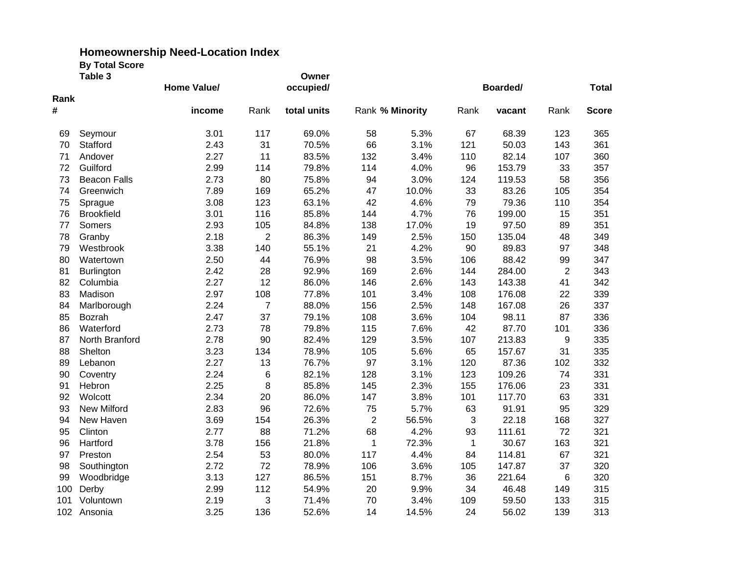|      | Table 3             |                    |                | Owner       |                |                 |              |              |                |              |
|------|---------------------|--------------------|----------------|-------------|----------------|-----------------|--------------|--------------|----------------|--------------|
|      |                     | <b>Home Value/</b> |                | occupied/   |                |                 | Boarded/     | <b>Total</b> |                |              |
| Rank |                     |                    |                |             |                |                 |              |              |                |              |
| #    |                     | income             | Rank           | total units |                | Rank % Minority | Rank         | vacant       | Rank           | <b>Score</b> |
| 69   | Seymour             | 3.01               | 117            | 69.0%       | 58             | 5.3%            | 67           | 68.39        | 123            | 365          |
| 70   | Stafford            | 2.43               | 31             | 70.5%       | 66             | 3.1%            | 121          | 50.03        | 143            | 361          |
| 71   | Andover             | 2.27               | 11             | 83.5%       | 132            | 3.4%            | 110          | 82.14        | 107            | 360          |
| 72   | Guilford            | 2.99               | 114            | 79.8%       | 114            | 4.0%            | 96           | 153.79       | 33             | 357          |
| 73   | <b>Beacon Falls</b> | 2.73               | 80             | 75.8%       | 94             | 3.0%            | 124          | 119.53       | 58             | 356          |
| 74   | Greenwich           | 7.89               | 169            | 65.2%       | 47             | 10.0%           | 33           | 83.26        | 105            | 354          |
| 75   | Sprague             | 3.08               | 123            | 63.1%       | 42             | 4.6%            | 79           | 79.36        | 110            | 354          |
| 76   | <b>Brookfield</b>   | 3.01               | 116            | 85.8%       | 144            | 4.7%            | 76           | 199.00       | 15             | 351          |
| 77   | Somers              | 2.93               | 105            | 84.8%       | 138            | 17.0%           | 19           | 97.50        | 89             | 351          |
| 78   | Granby              | 2.18               | $\mathbf 2$    | 86.3%       | 149            | 2.5%            | 150          | 135.04       | 48             | 349          |
| 79   | Westbrook           | 3.38               | 140            | 55.1%       | 21             | 4.2%            | 90           | 89.83        | 97             | 348          |
| 80   | Watertown           | 2.50               | 44             | 76.9%       | 98             | 3.5%            | 106          | 88.42        | 99             | 347          |
| 81   | <b>Burlington</b>   | 2.42               | 28             | 92.9%       | 169            | 2.6%            | 144          | 284.00       | $\overline{2}$ | 343          |
| 82   | Columbia            | 2.27               | 12             | 86.0%       | 146            | 2.6%            | 143          | 143.38       | 41             | 342          |
| 83   | Madison             | 2.97               | 108            | 77.8%       | 101            | 3.4%            | 108          | 176.08       | 22             | 339          |
| 84   | Marlborough         | 2.24               | $\overline{7}$ | 88.0%       | 156            | 2.5%            | 148          | 167.08       | 26             | 337          |
| 85   | Bozrah              | 2.47               | 37             | 79.1%       | 108            | 3.6%            | 104          | 98.11        | 87             | 336          |
| 86   | Waterford           | 2.73               | 78             | 79.8%       | 115            | 7.6%            | 42           | 87.70        | 101            | 336          |
| 87   | North Branford      | 2.78               | 90             | 82.4%       | 129            | 3.5%            | 107          | 213.83       | 9              | 335          |
| 88   | Shelton             | 3.23               | 134            | 78.9%       | 105            | 5.6%            | 65           | 157.67       | 31             | 335          |
| 89   | Lebanon             | 2.27               | 13             | 76.7%       | 97             | 3.1%            | 120          | 87.36        | 102            | 332          |
| 90   | Coventry            | 2.24               | 6              | 82.1%       | 128            | 3.1%            | 123          | 109.26       | 74             | 331          |
| 91   | Hebron              | 2.25               | 8              | 85.8%       | 145            | 2.3%            | 155          | 176.06       | 23             | 331          |
| 92   | Wolcott             | 2.34               | 20             | 86.0%       | 147            | 3.8%            | 101          | 117.70       | 63             | 331          |
| 93   | <b>New Milford</b>  | 2.83               | 96             | 72.6%       | 75             | 5.7%            | 63           | 91.91        | 95             | 329          |
| 94   | New Haven           | 3.69               | 154            | 26.3%       | $\overline{2}$ | 56.5%           | 3            | 22.18        | 168            | 327          |
| 95   | Clinton             | 2.77               | 88             | 71.2%       | 68             | 4.2%            | 93           | 111.61       | 72             | 321          |
| 96   | Hartford            | 3.78               | 156            | 21.8%       | 1              | 72.3%           | $\mathbf{1}$ | 30.67        | 163            | 321          |
| 97   | Preston             | 2.54               | 53             | 80.0%       | 117            | 4.4%            | 84           | 114.81       | 67             | 321          |
| 98   | Southington         | 2.72               | 72             | 78.9%       | 106            | 3.6%            | 105          | 147.87       | 37             | 320          |
| 99   | Woodbridge          | 3.13               | 127            | 86.5%       | 151            | 8.7%            | 36           | 221.64       | 6              | 320          |
| 100  | Derby               | 2.99               | 112            | 54.9%       | 20             | 9.9%            | 34           | 46.48        | 149            | 315          |
| 101  | Voluntown           | 2.19               | 3              | 71.4%       | 70             | 3.4%            | 109          | 59.50        | 133            | 315          |
| 102  | Ansonia             | 3.25               | 136            | 52.6%       | 14             | 14.5%           | 24           | 56.02        | 139            | 313          |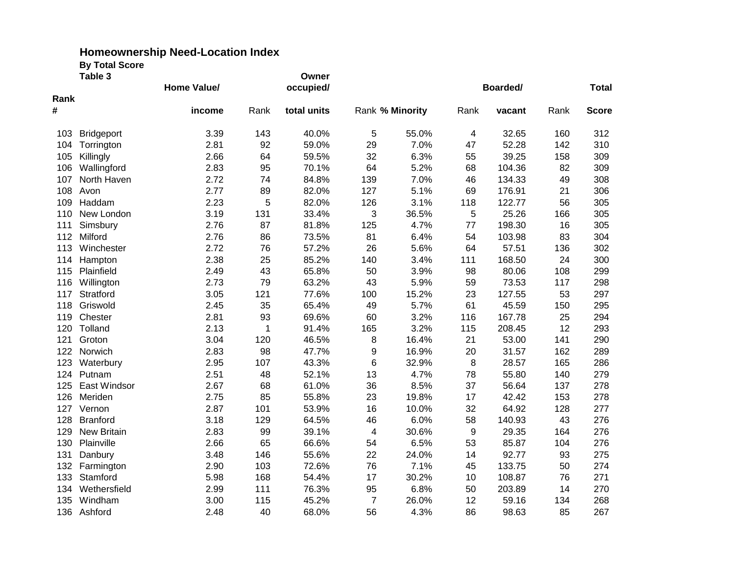|      | Table 3            |                    |      | Owner       |                |                 |      |          |      |              |
|------|--------------------|--------------------|------|-------------|----------------|-----------------|------|----------|------|--------------|
|      |                    | <b>Home Value/</b> |      | occupied/   |                |                 |      | Boarded/ |      | <b>Total</b> |
| Rank |                    |                    |      |             |                |                 |      |          |      |              |
| #    |                    | income             | Rank | total units |                | Rank % Minority | Rank | vacant   | Rank | <b>Score</b> |
| 103  | <b>Bridgeport</b>  | 3.39               | 143  | 40.0%       | 5              | 55.0%           | 4    | 32.65    | 160  | 312          |
| 104  | Torrington         | 2.81               | 92   | 59.0%       | 29             | 7.0%            | 47   | 52.28    | 142  | 310          |
| 105  | Killingly          | 2.66               | 64   | 59.5%       | 32             | 6.3%            | 55   | 39.25    | 158  | 309          |
| 106  | Wallingford        | 2.83               | 95   | 70.1%       | 64             | 5.2%            | 68   | 104.36   | 82   | 309          |
| 107  | North Haven        | 2.72               | 74   | 84.8%       | 139            | 7.0%            | 46   | 134.33   | 49   | 308          |
| 108  | Avon               | 2.77               | 89   | 82.0%       | 127            | 5.1%            | 69   | 176.91   | 21   | 306          |
| 109  | Haddam             | 2.23               | 5    | 82.0%       | 126            | 3.1%            | 118  | 122.77   | 56   | 305          |
| 110  | New London         | 3.19               | 131  | 33.4%       | 3              | 36.5%           | 5    | 25.26    | 166  | 305          |
| 111  | Simsbury           | 2.76               | 87   | 81.8%       | 125            | 4.7%            | 77   | 198.30   | 16   | 305          |
| 112  | Milford            | 2.76               | 86   | 73.5%       | 81             | 6.4%            | 54   | 103.98   | 83   | 304          |
| 113  | Winchester         | 2.72               | 76   | 57.2%       | 26             | 5.6%            | 64   | 57.51    | 136  | 302          |
| 114  | Hampton            | 2.38               | 25   | 85.2%       | 140            | 3.4%            | 111  | 168.50   | 24   | 300          |
| 115  | Plainfield         | 2.49               | 43   | 65.8%       | 50             | 3.9%            | 98   | 80.06    | 108  | 299          |
| 116  | Willington         | 2.73               | 79   | 63.2%       | 43             | 5.9%            | 59   | 73.53    | 117  | 298          |
| 117  | Stratford          | 3.05               | 121  | 77.6%       | 100            | 15.2%           | 23   | 127.55   | 53   | 297          |
| 118  | Griswold           | 2.45               | 35   | 65.4%       | 49             | 5.7%            | 61   | 45.59    | 150  | 295          |
| 119  | Chester            | 2.81               | 93   | 69.6%       | 60             | 3.2%            | 116  | 167.78   | 25   | 294          |
| 120  | Tolland            | 2.13               | 1    | 91.4%       | 165            | 3.2%            | 115  | 208.45   | 12   | 293          |
| 121  | Groton             | 3.04               | 120  | 46.5%       | 8              | 16.4%           | 21   | 53.00    | 141  | 290          |
| 122  | Norwich            | 2.83               | 98   | 47.7%       | 9              | 16.9%           | 20   | 31.57    | 162  | 289          |
| 123  | Waterbury          | 2.95               | 107  | 43.3%       | 6              | 32.9%           | 8    | 28.57    | 165  | 286          |
| 124  | Putnam             | 2.51               | 48   | 52.1%       | 13             | 4.7%            | 78   | 55.80    | 140  | 279          |
| 125  | East Windsor       | 2.67               | 68   | 61.0%       | 36             | 8.5%            | 37   | 56.64    | 137  | 278          |
| 126  | Meriden            | 2.75               | 85   | 55.8%       | 23             | 19.8%           | 17   | 42.42    | 153  | 278          |
| 127  | Vernon             | 2.87               | 101  | 53.9%       | 16             | 10.0%           | 32   | 64.92    | 128  | 277          |
| 128  | <b>Branford</b>    | 3.18               | 129  | 64.5%       | 46             | 6.0%            | 58   | 140.93   | 43   | 276          |
| 129  | <b>New Britain</b> | 2.83               | 99   | 39.1%       | 4              | 30.6%           | 9    | 29.35    | 164  | 276          |
| 130  | Plainville         | 2.66               | 65   | 66.6%       | 54             | 6.5%            | 53   | 85.87    | 104  | 276          |
| 131  | Danbury            | 3.48               | 146  | 55.6%       | 22             | 24.0%           | 14   | 92.77    | 93   | 275          |
| 132  | Farmington         | 2.90               | 103  | 72.6%       | 76             | 7.1%            | 45   | 133.75   | 50   | 274          |
| 133  | Stamford           | 5.98               | 168  | 54.4%       | 17             | 30.2%           | 10   | 108.87   | 76   | 271          |
| 134  | Wethersfield       | 2.99               | 111  | 76.3%       | 95             | 6.8%            | 50   | 203.89   | 14   | 270          |
| 135  | Windham            | 3.00               | 115  | 45.2%       | $\overline{7}$ | 26.0%           | 12   | 59.16    | 134  | 268          |
| 136  | Ashford            | 2.48               | 40   | 68.0%       | 56             | 4.3%            | 86   | 98.63    | 85   | 267          |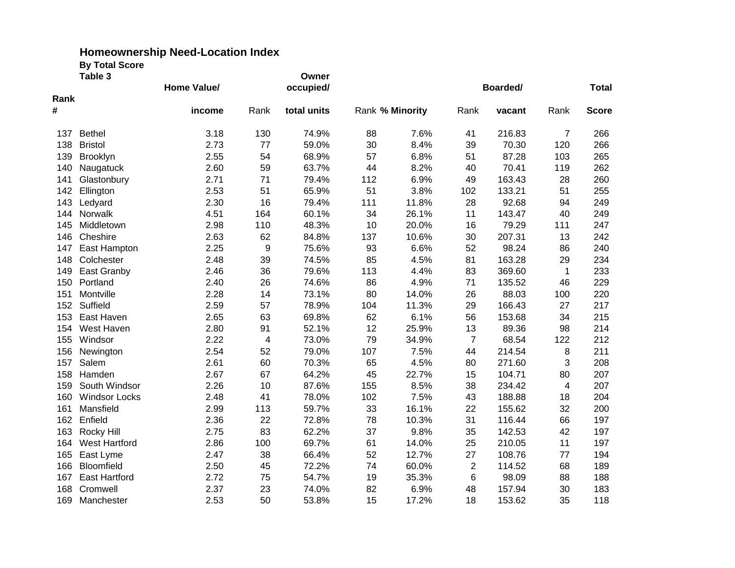| Table 3 |                      | Home Value/ |      | Owner<br>occupied/ |     |                 | Boarded/       | <b>Total</b> |                |              |
|---------|----------------------|-------------|------|--------------------|-----|-----------------|----------------|--------------|----------------|--------------|
| Rank    |                      |             |      |                    |     |                 |                |              |                |              |
| #       |                      | income      | Rank | total units        |     | Rank % Minority | Rank           | vacant       | Rank           | <b>Score</b> |
| 137     | <b>Bethel</b>        | 3.18        | 130  | 74.9%              | 88  | 7.6%            | 41             | 216.83       | $\overline{7}$ | 266          |
| 138     | <b>Bristol</b>       | 2.73        | 77   | 59.0%              | 30  | 8.4%            | 39             | 70.30        | 120            | 266          |
| 139     | Brooklyn             | 2.55        | 54   | 68.9%              | 57  | 6.8%            | 51             | 87.28        | 103            | 265          |
| 140     | Naugatuck            | 2.60        | 59   | 63.7%              | 44  | 8.2%            | 40             | 70.41        | 119            | 262          |
| 141     | Glastonbury          | 2.71        | 71   | 79.4%              | 112 | 6.9%            | 49             | 163.43       | 28             | 260          |
| 142     | Ellington            | 2.53        | 51   | 65.9%              | 51  | 3.8%            | 102            | 133.21       | 51             | 255          |
| 143     | Ledyard              | 2.30        | 16   | 79.4%              | 111 | 11.8%           | 28             | 92.68        | 94             | 249          |
| 144     | Norwalk              | 4.51        | 164  | 60.1%              | 34  | 26.1%           | 11             | 143.47       | 40             | 249          |
| 145     | Middletown           | 2.98        | 110  | 48.3%              | 10  | 20.0%           | 16             | 79.29        | 111            | 247          |
| 146     | Cheshire             | 2.63        | 62   | 84.8%              | 137 | 10.6%           | 30             | 207.31       | 13             | 242          |
| 147     | East Hampton         | 2.25        | 9    | 75.6%              | 93  | 6.6%            | 52             | 98.24        | 86             | 240          |
| 148     | Colchester           | 2.48        | 39   | 74.5%              | 85  | 4.5%            | 81             | 163.28       | 29             | 234          |
| 149     | East Granby          | 2.46        | 36   | 79.6%              | 113 | 4.4%            | 83             | 369.60       | 1              | 233          |
| 150     | Portland             | 2.40        | 26   | 74.6%              | 86  | 4.9%            | 71             | 135.52       | 46             | 229          |
| 151     | Montville            | 2.28        | 14   | 73.1%              | 80  | 14.0%           | 26             | 88.03        | 100            | 220          |
| 152     | Suffield             | 2.59        | 57   | 78.9%              | 104 | 11.3%           | 29             | 166.43       | 27             | 217          |
| 153     | East Haven           | 2.65        | 63   | 69.8%              | 62  | 6.1%            | 56             | 153.68       | 34             | 215          |
| 154     | West Haven           | 2.80        | 91   | 52.1%              | 12  | 25.9%           | 13             | 89.36        | 98             | 214          |
| 155     | Windsor              | 2.22        | 4    | 73.0%              | 79  | 34.9%           | $\overline{7}$ | 68.54        | 122            | 212          |
| 156     | Newington            | 2.54        | 52   | 79.0%              | 107 | 7.5%            | 44             | 214.54       | 8              | 211          |
| 157     | Salem                | 2.61        | 60   | 70.3%              | 65  | 4.5%            | 80             | 271.60       | 3              | 208          |
| 158     | Hamden               | 2.67        | 67   | 64.2%              | 45  | 22.7%           | 15             | 104.71       | 80             | 207          |
| 159     | South Windsor        | 2.26        | 10   | 87.6%              | 155 | 8.5%            | 38             | 234.42       | 4              | 207          |
| 160     | <b>Windsor Locks</b> | 2.48        | 41   | 78.0%              | 102 | 7.5%            | 43             | 188.88       | 18             | 204          |
| 161     | Mansfield            | 2.99        | 113  | 59.7%              | 33  | 16.1%           | 22             | 155.62       | 32             | 200          |
| 162     | Enfield              | 2.36        | 22   | 72.8%              | 78  | 10.3%           | 31             | 116.44       | 66             | 197          |
| 163     | Rocky Hill           | 2.75        | 83   | 62.2%              | 37  | 9.8%            | 35             | 142.53       | 42             | 197          |
| 164     | <b>West Hartford</b> | 2.86        | 100  | 69.7%              | 61  | 14.0%           | 25             | 210.05       | 11             | 197          |
| 165     | East Lyme            | 2.47        | 38   | 66.4%              | 52  | 12.7%           | 27             | 108.76       | 77             | 194          |
| 166     | Bloomfield           | 2.50        | 45   | 72.2%              | 74  | 60.0%           | $\overline{2}$ | 114.52       | 68             | 189          |
| 167     | <b>East Hartford</b> | 2.72        | 75   | 54.7%              | 19  | 35.3%           | 6              | 98.09        | 88             | 188          |
| 168     | Cromwell             | 2.37        | 23   | 74.0%              | 82  | 6.9%            | 48             | 157.94       | 30             | 183          |
| 169     | Manchester           | 2.53        | 50   | 53.8%              | 15  | 17.2%           | 18             | 153.62       | 35             | 118          |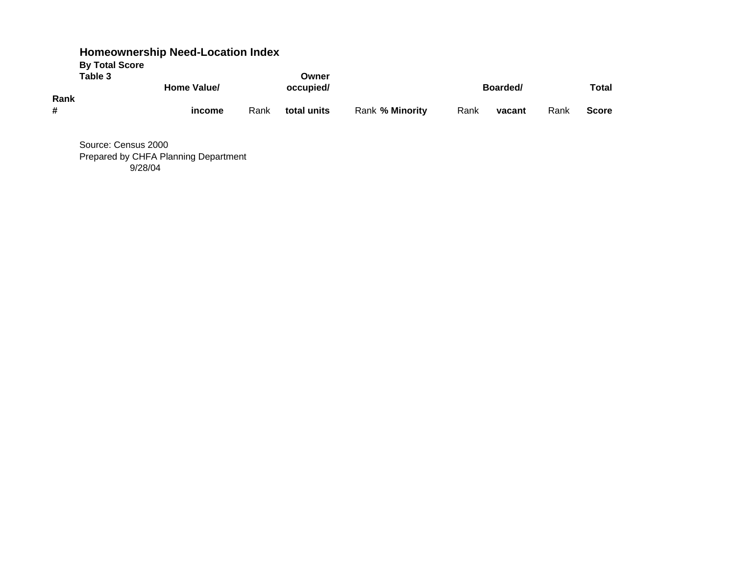|                       | <b>Homeownership Need-Location Index</b> |      |             |                 |      |          |      |              |
|-----------------------|------------------------------------------|------|-------------|-----------------|------|----------|------|--------------|
| <b>By Total Score</b> |                                          |      |             |                 |      |          |      |              |
| Table 3               |                                          |      | Owner       |                 |      |          |      |              |
|                       | Home Value/                              |      | occupied/   |                 |      | Boarded/ |      | <b>Total</b> |
| Rank                  |                                          |      |             |                 |      |          |      |              |
| #                     | income                                   | Rank | total units | Rank % Minority | Rank | vacant   | Rank | <b>Score</b> |
|                       |                                          |      |             |                 |      |          |      |              |

Source: Census 2000 Prepared by CHFA Planning Department 9/28/04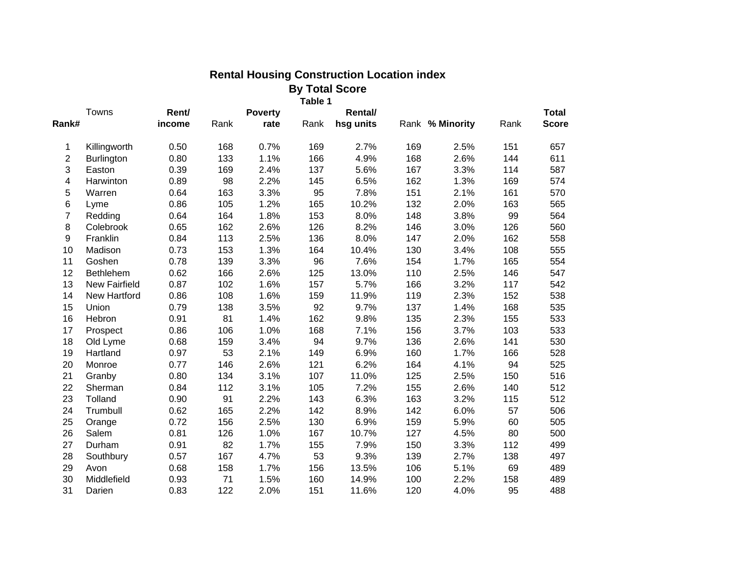|                |                      |        |      |                | <b>By Total Score</b> |                |     |                 |      |              |
|----------------|----------------------|--------|------|----------------|-----------------------|----------------|-----|-----------------|------|--------------|
|                |                      |        |      |                | Table 1               |                |     |                 |      |              |
|                | Towns                | Rent/  |      | <b>Poverty</b> |                       | <b>Rental/</b> |     |                 |      | <b>Total</b> |
| Rank#          |                      | income | Rank | rate           | Rank                  | hsg units      |     | Rank % Minority | Rank | <b>Score</b> |
| 1              | Killingworth         | 0.50   | 168  | 0.7%           | 169                   | 2.7%           | 169 | 2.5%            | 151  | 657          |
| $\overline{c}$ | <b>Burlington</b>    | 0.80   | 133  | 1.1%           | 166                   | 4.9%           | 168 | 2.6%            | 144  | 611          |
| 3              | Easton               | 0.39   | 169  | 2.4%           | 137                   | 5.6%           | 167 | 3.3%            | 114  | 587          |
| 4              | Harwinton            | 0.89   | 98   | 2.2%           | 145                   | 6.5%           | 162 | 1.3%            | 169  | 574          |
| 5              | Warren               | 0.64   | 163  | 3.3%           | 95                    | 7.8%           | 151 | 2.1%            | 161  | 570          |
| 6              | Lyme                 | 0.86   | 105  | 1.2%           | 165                   | 10.2%          | 132 | 2.0%            | 163  | 565          |
| $\overline{7}$ | Redding              | 0.64   | 164  | 1.8%           | 153                   | 8.0%           | 148 | 3.8%            | 99   | 564          |
| 8              | Colebrook            | 0.65   | 162  | 2.6%           | 126                   | 8.2%           | 146 | 3.0%            | 126  | 560          |
| 9              | Franklin             | 0.84   | 113  | 2.5%           | 136                   | 8.0%           | 147 | 2.0%            | 162  | 558          |
| 10             | Madison              | 0.73   | 153  | 1.3%           | 164                   | 10.4%          | 130 | 3.4%            | 108  | 555          |
| 11             | Goshen               | 0.78   | 139  | 3.3%           | 96                    | 7.6%           | 154 | 1.7%            | 165  | 554          |
| 12             | Bethlehem            | 0.62   | 166  | 2.6%           | 125                   | 13.0%          | 110 | 2.5%            | 146  | 547          |
| 13             | <b>New Fairfield</b> | 0.87   | 102  | 1.6%           | 157                   | 5.7%           | 166 | 3.2%            | 117  | 542          |
| 14             | New Hartford         | 0.86   | 108  | 1.6%           | 159                   | 11.9%          | 119 | 2.3%            | 152  | 538          |
| 15             | Union                | 0.79   | 138  | 3.5%           | 92                    | 9.7%           | 137 | 1.4%            | 168  | 535          |
| 16             | Hebron               | 0.91   | 81   | 1.4%           | 162                   | 9.8%           | 135 | 2.3%            | 155  | 533          |
| 17             | Prospect             | 0.86   | 106  | 1.0%           | 168                   | 7.1%           | 156 | 3.7%            | 103  | 533          |
| 18             | Old Lyme             | 0.68   | 159  | 3.4%           | 94                    | 9.7%           | 136 | 2.6%            | 141  | 530          |
| 19             | Hartland             | 0.97   | 53   | 2.1%           | 149                   | 6.9%           | 160 | 1.7%            | 166  | 528          |
| 20             | Monroe               | 0.77   | 146  | 2.6%           | 121                   | 6.2%           | 164 | 4.1%            | 94   | 525          |
| 21             | Granby               | 0.80   | 134  | 3.1%           | 107                   | 11.0%          | 125 | 2.5%            | 150  | 516          |
| 22             | Sherman              | 0.84   | 112  | 3.1%           | 105                   | 7.2%           | 155 | 2.6%            | 140  | 512          |
| 23             | Tolland              | 0.90   | 91   | 2.2%           | 143                   | 6.3%           | 163 | 3.2%            | 115  | 512          |
| 24             | Trumbull             | 0.62   | 165  | 2.2%           | 142                   | 8.9%           | 142 | 6.0%            | 57   | 506          |
| 25             | Orange               | 0.72   | 156  | 2.5%           | 130                   | 6.9%           | 159 | 5.9%            | 60   | 505          |
| 26             | Salem                | 0.81   | 126  | 1.0%           | 167                   | 10.7%          | 127 | 4.5%            | 80   | 500          |
| 27             | Durham               | 0.91   | 82   | 1.7%           | 155                   | 7.9%           | 150 | 3.3%            | 112  | 499          |
| 28             | Southbury            | 0.57   | 167  | 4.7%           | 53                    | 9.3%           | 139 | 2.7%            | 138  | 497          |
| 29             | Avon                 | 0.68   | 158  | 1.7%           | 156                   | 13.5%          | 106 | 5.1%            | 69   | 489          |
| 30             | Middlefield          | 0.93   | 71   | 1.5%           | 160                   | 14.9%          | 100 | 2.2%            | 158  | 489          |
| 31             | Darien               | 0.83   | 122  | 2.0%           | 151                   | 11.6%          | 120 | 4.0%            | 95   | 488          |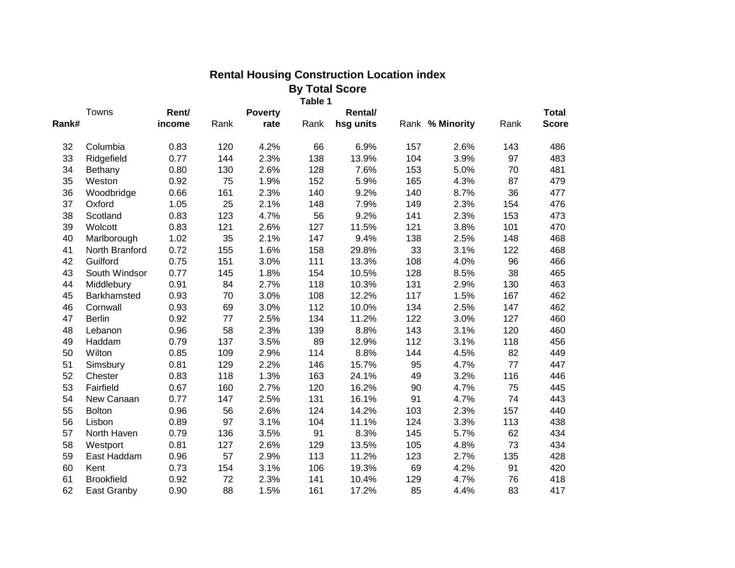| <b>By Total Score</b> |                   |        |      |                |         |           |     |                 |      |              |
|-----------------------|-------------------|--------|------|----------------|---------|-----------|-----|-----------------|------|--------------|
|                       | Towns             | Rent/  |      | <b>Poverty</b> | Table 1 | Rental/   |     |                 |      | <b>Total</b> |
| Rank#                 |                   | income | Rank | rate           | Rank    | hsg units |     | Rank % Minority | Rank | <b>Score</b> |
| 32                    | Columbia          | 0.83   | 120  | 4.2%           | 66      | 6.9%      | 157 | 2.6%            | 143  | 486          |
| 33                    | Ridgefield        | 0.77   | 144  | 2.3%           | 138     | 13.9%     | 104 | 3.9%            | 97   | 483          |
| 34                    | Bethany           | 0.80   | 130  | 2.6%           | 128     | 7.6%      | 153 | 5.0%            | 70   | 481          |
| 35                    | Weston            | 0.92   | 75   | 1.9%           | 152     | 5.9%      | 165 | 4.3%            | 87   | 479          |
| 36                    | Woodbridge        | 0.66   | 161  | 2.3%           | 140     | 9.2%      | 140 | 8.7%            | 36   | 477          |
| 37                    | Oxford            | 1.05   | 25   | 2.1%           | 148     | 7.9%      | 149 | 2.3%            | 154  | 476          |
| 38                    | Scotland          | 0.83   | 123  | 4.7%           | 56      | 9.2%      | 141 | 2.3%            | 153  | 473          |
| 39                    | Wolcott           | 0.83   | 121  | 2.6%           | 127     | 11.5%     | 121 | 3.8%            | 101  | 470          |
| 40                    | Marlborough       | 1.02   | 35   | 2.1%           | 147     | 9.4%      | 138 | 2.5%            | 148  | 468          |
| 41                    | North Branford    | 0.72   | 155  | 1.6%           | 158     | 29.8%     | 33  | 3.1%            | 122  | 468          |
| 42                    | Guilford          | 0.75   | 151  | 3.0%           | 111     | 13.3%     | 108 | 4.0%            | 96   | 466          |
| 43                    | South Windsor     | 0.77   | 145  | 1.8%           | 154     | 10.5%     | 128 | 8.5%            | 38   | 465          |
| 44                    | Middlebury        | 0.91   | 84   | 2.7%           | 118     | 10.3%     | 131 | 2.9%            | 130  | 463          |
| 45                    | Barkhamsted       | 0.93   | 70   | 3.0%           | 108     | 12.2%     | 117 | 1.5%            | 167  | 462          |
| 46                    | Cornwall          | 0.93   | 69   | 3.0%           | 112     | 10.0%     | 134 | 2.5%            | 147  | 462          |
| 47                    | <b>Berlin</b>     | 0.92   | 77   | 2.5%           | 134     | 11.2%     | 122 | 3.0%            | 127  | 460          |
| 48                    | Lebanon           | 0.96   | 58   | 2.3%           | 139     | 8.8%      | 143 | 3.1%            | 120  | 460          |
| 49                    | Haddam            | 0.79   | 137  | 3.5%           | 89      | 12.9%     | 112 | 3.1%            | 118  | 456          |
| 50                    | Wilton            | 0.85   | 109  | 2.9%           | 114     | 8.8%      | 144 | 4.5%            | 82   | 449          |
| 51                    | Simsbury          | 0.81   | 129  | 2.2%           | 146     | 15.7%     | 95  | 4.7%            | 77   | 447          |
| 52                    | Chester           | 0.83   | 118  | 1.3%           | 163     | 24.1%     | 49  | 3.2%            | 116  | 446          |
| 53                    | Fairfield         | 0.67   | 160  | 2.7%           | 120     | 16.2%     | 90  | 4.7%            | 75   | 445          |
| 54                    | New Canaan        | 0.77   | 147  | 2.5%           | 131     | 16.1%     | 91  | 4.7%            | 74   | 443          |
| 55                    | <b>Bolton</b>     | 0.96   | 56   | 2.6%           | 124     | 14.2%     | 103 | 2.3%            | 157  | 440          |
| 56                    | Lisbon            | 0.89   | 97   | 3.1%           | 104     | 11.1%     | 124 | 3.3%            | 113  | 438          |
| 57                    | North Haven       | 0.79   | 136  | 3.5%           | 91      | 8.3%      | 145 | 5.7%            | 62   | 434          |
| 58                    | Westport          | 0.81   | 127  | 2.6%           | 129     | 13.5%     | 105 | 4.8%            | 73   | 434          |
| 59                    | East Haddam       | 0.96   | 57   | 2.9%           | 113     | 11.2%     | 123 | 2.7%            | 135  | 428          |
| 60                    | Kent              | 0.73   | 154  | 3.1%           | 106     | 19.3%     | 69  | 4.2%            | 91   | 420          |
| 61                    | <b>Brookfield</b> | 0.92   | 72   | 2.3%           | 141     | 10.4%     | 129 | 4.7%            | 76   | 418          |
| 62                    | East Granby       | 0.90   | 88   | 1.5%           | 161     | 17.2%     | 85  | 4.4%            | 83   | 417          |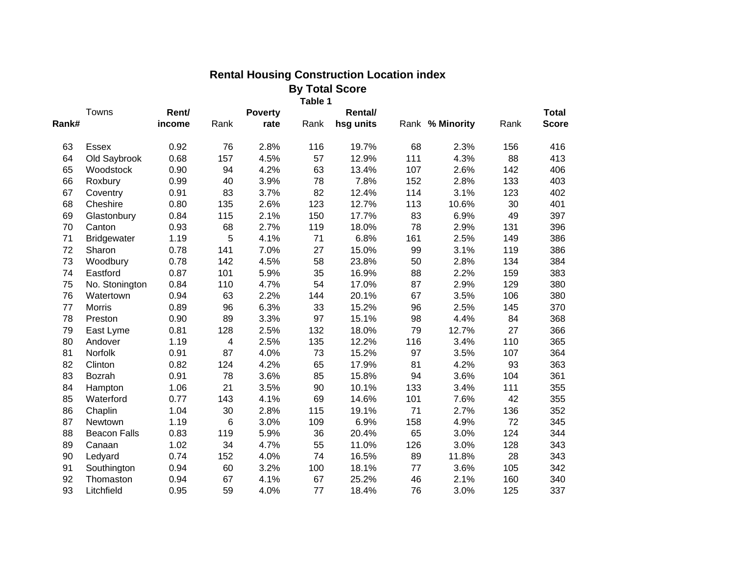| <b>By Total Score</b> |                     |        |                         |                |         |           |     |                 |      |              |
|-----------------------|---------------------|--------|-------------------------|----------------|---------|-----------|-----|-----------------|------|--------------|
|                       | Towns               | Rent/  |                         | <b>Poverty</b> | Table 1 | Rental/   |     |                 |      | <b>Total</b> |
| Rank#                 |                     | income | Rank                    | rate           | Rank    | hsg units |     | Rank % Minority | Rank | <b>Score</b> |
| 63                    | <b>Essex</b>        | 0.92   | 76                      | 2.8%           | 116     | 19.7%     | 68  | 2.3%            | 156  | 416          |
| 64                    | Old Saybrook        | 0.68   | 157                     | 4.5%           | 57      | 12.9%     | 111 | 4.3%            | 88   | 413          |
| 65                    | Woodstock           | 0.90   | 94                      | 4.2%           | 63      | 13.4%     | 107 | 2.6%            | 142  | 406          |
| 66                    | Roxbury             | 0.99   | 40                      | 3.9%           | 78      | 7.8%      | 152 | 2.8%            | 133  | 403          |
| 67                    | Coventry            | 0.91   | 83                      | 3.7%           | 82      | 12.4%     | 114 | 3.1%            | 123  | 402          |
| 68                    | Cheshire            | 0.80   | 135                     | 2.6%           | 123     | 12.7%     | 113 | 10.6%           | 30   | 401          |
| 69                    | Glastonbury         | 0.84   | 115                     | 2.1%           | 150     | 17.7%     | 83  | 6.9%            | 49   | 397          |
| 70                    | Canton              | 0.93   | 68                      | 2.7%           | 119     | 18.0%     | 78  | 2.9%            | 131  | 396          |
| 71                    | <b>Bridgewater</b>  | 1.19   | 5                       | 4.1%           | 71      | 6.8%      | 161 | 2.5%            | 149  | 386          |
| 72                    | Sharon              | 0.78   | 141                     | 7.0%           | 27      | 15.0%     | 99  | 3.1%            | 119  | 386          |
| 73                    | Woodbury            | 0.78   | 142                     | 4.5%           | 58      | 23.8%     | 50  | 2.8%            | 134  | 384          |
| 74                    | Eastford            | 0.87   | 101                     | 5.9%           | 35      | 16.9%     | 88  | 2.2%            | 159  | 383          |
| 75                    | No. Stonington      | 0.84   | 110                     | 4.7%           | 54      | 17.0%     | 87  | 2.9%            | 129  | 380          |
| 76                    | Watertown           | 0.94   | 63                      | 2.2%           | 144     | 20.1%     | 67  | 3.5%            | 106  | 380          |
| 77                    | <b>Morris</b>       | 0.89   | 96                      | 6.3%           | 33      | 15.2%     | 96  | 2.5%            | 145  | 370          |
| 78                    | Preston             | 0.90   | 89                      | 3.3%           | 97      | 15.1%     | 98  | 4.4%            | 84   | 368          |
| 79                    | East Lyme           | 0.81   | 128                     | 2.5%           | 132     | 18.0%     | 79  | 12.7%           | 27   | 366          |
| 80                    | Andover             | 1.19   | $\overline{\mathbf{4}}$ | 2.5%           | 135     | 12.2%     | 116 | 3.4%            | 110  | 365          |
| 81                    | Norfolk             | 0.91   | 87                      | 4.0%           | 73      | 15.2%     | 97  | 3.5%            | 107  | 364          |
| 82                    | Clinton             | 0.82   | 124                     | 4.2%           | 65      | 17.9%     | 81  | 4.2%            | 93   | 363          |
| 83                    | Bozrah              | 0.91   | 78                      | 3.6%           | 85      | 15.8%     | 94  | 3.6%            | 104  | 361          |
| 84                    | Hampton             | 1.06   | 21                      | 3.5%           | 90      | 10.1%     | 133 | 3.4%            | 111  | 355          |
| 85                    | Waterford           | 0.77   | 143                     | 4.1%           | 69      | 14.6%     | 101 | 7.6%            | 42   | 355          |
| 86                    | Chaplin             | 1.04   | 30                      | 2.8%           | 115     | 19.1%     | 71  | 2.7%            | 136  | 352          |
| 87                    | Newtown             | 1.19   | 6                       | 3.0%           | 109     | 6.9%      | 158 | 4.9%            | 72   | 345          |
| 88                    | <b>Beacon Falls</b> | 0.83   | 119                     | 5.9%           | 36      | 20.4%     | 65  | 3.0%            | 124  | 344          |
| 89                    | Canaan              | 1.02   | 34                      | 4.7%           | 55      | 11.0%     | 126 | 3.0%            | 128  | 343          |
| 90                    | Ledyard             | 0.74   | 152                     | 4.0%           | 74      | 16.5%     | 89  | 11.8%           | 28   | 343          |
| 91                    | Southington         | 0.94   | 60                      | 3.2%           | 100     | 18.1%     | 77  | 3.6%            | 105  | 342          |
| 92                    | Thomaston           | 0.94   | 67                      | 4.1%           | 67      | 25.2%     | 46  | 2.1%            | 160  | 340          |
| 93                    | Litchfield          | 0.95   | 59                      | 4.0%           | 77      | 18.4%     | 76  | 3.0%            | 125  | 337          |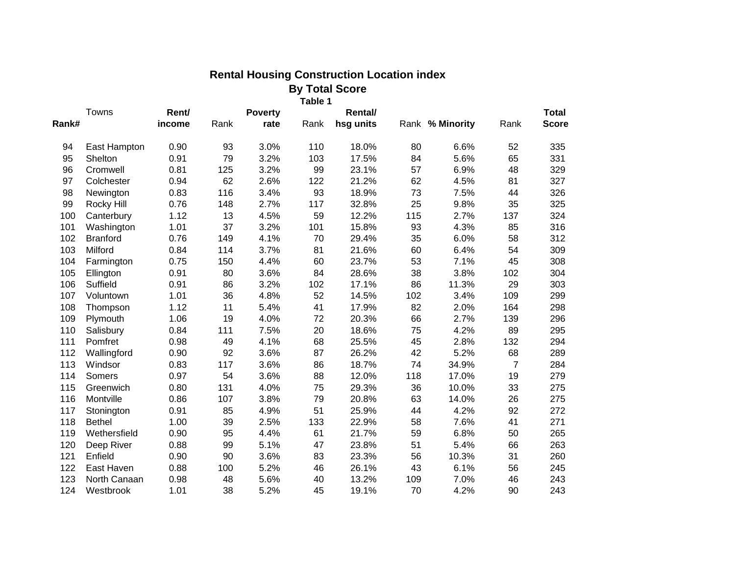|       | <b>By Total Score</b><br>Table 1 |        |      |                |      |           |     |                 |                |              |  |
|-------|----------------------------------|--------|------|----------------|------|-----------|-----|-----------------|----------------|--------------|--|
|       | Towns                            | Rent/  |      | <b>Poverty</b> |      | Rental/   |     |                 |                | <b>Total</b> |  |
| Rank# |                                  | income | Rank | rate           | Rank | hsg units |     | Rank % Minority | Rank           | <b>Score</b> |  |
| 94    | East Hampton                     | 0.90   | 93   | 3.0%           | 110  | 18.0%     | 80  | 6.6%            | 52             | 335          |  |
| 95    | Shelton                          | 0.91   | 79   | 3.2%           | 103  | 17.5%     | 84  | 5.6%            | 65             | 331          |  |
| 96    | Cromwell                         | 0.81   | 125  | 3.2%           | 99   | 23.1%     | 57  | 6.9%            | 48             | 329          |  |
| 97    | Colchester                       | 0.94   | 62   | 2.6%           | 122  | 21.2%     | 62  | 4.5%            | 81             | 327          |  |
| 98    | Newington                        | 0.83   | 116  | 3.4%           | 93   | 18.9%     | 73  | 7.5%            | 44             | 326          |  |
| 99    | Rocky Hill                       | 0.76   | 148  | 2.7%           | 117  | 32.8%     | 25  | 9.8%            | 35             | 325          |  |
| 100   | Canterbury                       | 1.12   | 13   | 4.5%           | 59   | 12.2%     | 115 | 2.7%            | 137            | 324          |  |
| 101   | Washington                       | 1.01   | 37   | 3.2%           | 101  | 15.8%     | 93  | 4.3%            | 85             | 316          |  |
| 102   | <b>Branford</b>                  | 0.76   | 149  | 4.1%           | 70   | 29.4%     | 35  | 6.0%            | 58             | 312          |  |
| 103   | Milford                          | 0.84   | 114  | 3.7%           | 81   | 21.6%     | 60  | 6.4%            | 54             | 309          |  |
| 104   | Farmington                       | 0.75   | 150  | 4.4%           | 60   | 23.7%     | 53  | 7.1%            | 45             | 308          |  |
| 105   | Ellington                        | 0.91   | 80   | 3.6%           | 84   | 28.6%     | 38  | 3.8%            | 102            | 304          |  |
| 106   | Suffield                         | 0.91   | 86   | 3.2%           | 102  | 17.1%     | 86  | 11.3%           | 29             | 303          |  |
| 107   | Voluntown                        | 1.01   | 36   | 4.8%           | 52   | 14.5%     | 102 | 3.4%            | 109            | 299          |  |
| 108   | Thompson                         | 1.12   | 11   | 5.4%           | 41   | 17.9%     | 82  | 2.0%            | 164            | 298          |  |
| 109   | Plymouth                         | 1.06   | 19   | 4.0%           | 72   | 20.3%     | 66  | 2.7%            | 139            | 296          |  |
| 110   | Salisbury                        | 0.84   | 111  | 7.5%           | 20   | 18.6%     | 75  | 4.2%            | 89             | 295          |  |
| 111   | Pomfret                          | 0.98   | 49   | 4.1%           | 68   | 25.5%     | 45  | 2.8%            | 132            | 294          |  |
| 112   | Wallingford                      | 0.90   | 92   | 3.6%           | 87   | 26.2%     | 42  | 5.2%            | 68             | 289          |  |
| 113   | Windsor                          | 0.83   | 117  | 3.6%           | 86   | 18.7%     | 74  | 34.9%           | $\overline{7}$ | 284          |  |
| 114   | Somers                           | 0.97   | 54   | 3.6%           | 88   | 12.0%     | 118 | 17.0%           | 19             | 279          |  |
| 115   | Greenwich                        | 0.80   | 131  | 4.0%           | 75   | 29.3%     | 36  | 10.0%           | 33             | 275          |  |
| 116   | Montville                        | 0.86   | 107  | 3.8%           | 79   | 20.8%     | 63  | 14.0%           | 26             | 275          |  |
| 117   | Stonington                       | 0.91   | 85   | 4.9%           | 51   | 25.9%     | 44  | 4.2%            | 92             | 272          |  |
| 118   | <b>Bethel</b>                    | 1.00   | 39   | 2.5%           | 133  | 22.9%     | 58  | 7.6%            | 41             | 271          |  |
| 119   | Wethersfield                     | 0.90   | 95   | 4.4%           | 61   | 21.7%     | 59  | 6.8%            | 50             | 265          |  |
| 120   | Deep River                       | 0.88   | 99   | 5.1%           | 47   | 23.8%     | 51  | 5.4%            | 66             | 263          |  |
| 121   | Enfield                          | 0.90   | 90   | 3.6%           | 83   | 23.3%     | 56  | 10.3%           | 31             | 260          |  |
| 122   | East Haven                       | 0.88   | 100  | 5.2%           | 46   | 26.1%     | 43  | 6.1%            | 56             | 245          |  |
| 123   | North Canaan                     | 0.98   | 48   | 5.6%           | 40   | 13.2%     | 109 | 7.0%            | 46             | 243          |  |
| 124   | Westbrook                        | 1.01   | 38   | 5.2%           | 45   | 19.1%     | 70  | 4.2%            | 90             | 243          |  |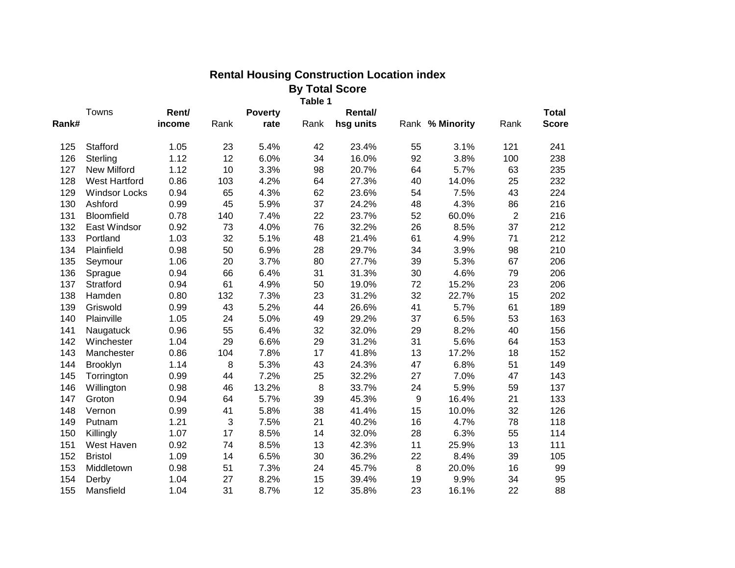| <b>By Total Score</b><br>Table 1 |                      |        |                                    |       |      |           |                  |                 |                |              |
|----------------------------------|----------------------|--------|------------------------------------|-------|------|-----------|------------------|-----------------|----------------|--------------|
|                                  | Towns                |        | Rent/<br><b>Poverty</b><br>Rental/ |       |      |           |                  |                 |                | <b>Total</b> |
| Rank#                            |                      | income | Rank                               | rate  | Rank | hsg units |                  | Rank % Minority | Rank           | <b>Score</b> |
| 125                              | Stafford             | 1.05   | 23                                 | 5.4%  | 42   | 23.4%     | 55               | 3.1%            | 121            | 241          |
| 126                              | Sterling             | 1.12   | 12                                 | 6.0%  | 34   | 16.0%     | 92               | 3.8%            | 100            | 238          |
| 127                              | <b>New Milford</b>   | 1.12   | 10                                 | 3.3%  | 98   | 20.7%     | 64               | 5.7%            | 63             | 235          |
| 128                              | <b>West Hartford</b> | 0.86   | 103                                | 4.2%  | 64   | 27.3%     | 40               | 14.0%           | 25             | 232          |
| 129                              | <b>Windsor Locks</b> | 0.94   | 65                                 | 4.3%  | 62   | 23.6%     | 54               | 7.5%            | 43             | 224          |
| 130                              | Ashford              | 0.99   | 45                                 | 5.9%  | 37   | 24.2%     | 48               | 4.3%            | 86             | 216          |
| 131                              | Bloomfield           | 0.78   | 140                                | 7.4%  | 22   | 23.7%     | 52               | 60.0%           | $\overline{2}$ | 216          |
| 132                              | East Windsor         | 0.92   | 73                                 | 4.0%  | 76   | 32.2%     | 26               | 8.5%            | 37             | 212          |
| 133                              | Portland             | 1.03   | 32                                 | 5.1%  | 48   | 21.4%     | 61               | 4.9%            | 71             | 212          |
| 134                              | Plainfield           | 0.98   | 50                                 | 6.9%  | 28   | 29.7%     | 34               | 3.9%            | 98             | 210          |
| 135                              | Seymour              | 1.06   | 20                                 | 3.7%  | 80   | 27.7%     | 39               | 5.3%            | 67             | 206          |
| 136                              | Sprague              | 0.94   | 66                                 | 6.4%  | 31   | 31.3%     | 30               | 4.6%            | 79             | 206          |
| 137                              | Stratford            | 0.94   | 61                                 | 4.9%  | 50   | 19.0%     | 72               | 15.2%           | 23             | 206          |
| 138                              | Hamden               | 0.80   | 132                                | 7.3%  | 23   | 31.2%     | 32               | 22.7%           | 15             | 202          |
| 139                              | Griswold             | 0.99   | 43                                 | 5.2%  | 44   | 26.6%     | 41               | 5.7%            | 61             | 189          |
| 140                              | Plainville           | 1.05   | 24                                 | 5.0%  | 49   | 29.2%     | 37               | 6.5%            | 53             | 163          |
| 141                              | Naugatuck            | 0.96   | 55                                 | 6.4%  | 32   | 32.0%     | 29               | 8.2%            | 40             | 156          |
| 142                              | Winchester           | 1.04   | 29                                 | 6.6%  | 29   | 31.2%     | 31               | 5.6%            | 64             | 153          |
| 143                              | Manchester           | 0.86   | 104                                | 7.8%  | 17   | 41.8%     | 13               | 17.2%           | 18             | 152          |
| 144                              | Brooklyn             | 1.14   | 8                                  | 5.3%  | 43   | 24.3%     | 47               | 6.8%            | 51             | 149          |
| 145                              | Torrington           | 0.99   | 44                                 | 7.2%  | 25   | 32.2%     | 27               | 7.0%            | 47             | 143          |
| 146                              | Willington           | 0.98   | 46                                 | 13.2% | 8    | 33.7%     | 24               | 5.9%            | 59             | 137          |
| 147                              | Groton               | 0.94   | 64                                 | 5.7%  | 39   | 45.3%     | $\boldsymbol{9}$ | 16.4%           | 21             | 133          |
| 148                              | Vernon               | 0.99   | 41                                 | 5.8%  | 38   | 41.4%     | 15               | 10.0%           | 32             | 126          |
| 149                              | Putnam               | 1.21   | 3                                  | 7.5%  | 21   | 40.2%     | 16               | 4.7%            | 78             | 118          |
| 150                              | Killingly            | 1.07   | 17                                 | 8.5%  | 14   | 32.0%     | 28               | 6.3%            | 55             | 114          |
| 151                              | West Haven           | 0.92   | 74                                 | 8.5%  | 13   | 42.3%     | 11               | 25.9%           | 13             | 111          |
| 152                              | <b>Bristol</b>       | 1.09   | 14                                 | 6.5%  | 30   | 36.2%     | 22               | 8.4%            | 39             | 105          |
| 153                              | Middletown           | 0.98   | 51                                 | 7.3%  | 24   | 45.7%     | 8                | 20.0%           | 16             | 99           |
| 154                              | Derby                | 1.04   | 27                                 | 8.2%  | 15   | 39.4%     | 19               | 9.9%            | 34             | 95           |
| 155                              | Mansfield            | 1.04   | 31                                 | 8.7%  | 12   | 35.8%     | 23               | 16.1%           | 22             | 88           |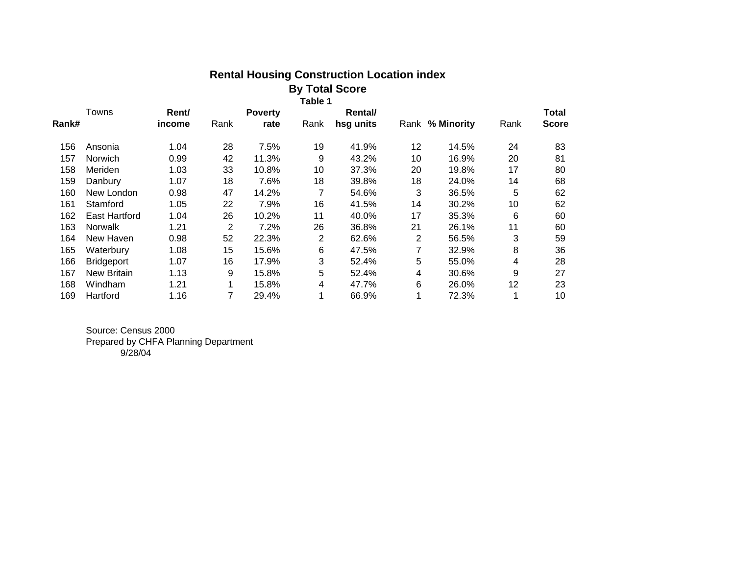| <b>Rental Housing Construction Location index</b> |
|---------------------------------------------------|
| <b>By Total Score</b>                             |

 **Table 1**

| Rent/              |                      | <b>Poverty</b> |      | <b>Rental</b> |    |                 |      | Total        |
|--------------------|----------------------|----------------|------|---------------|----|-----------------|------|--------------|
| income             | Rank                 | rate           | Rank | hsg units     |    | Rank % Minority | Rank | <b>Score</b> |
| 1.04               | 28                   | 7.5%           | 19   | 41.9%         | 12 | 14.5%           | 24   | 83           |
| 0.99               | 42                   | 11.3%          | 9    | 43.2%         | 10 | 16.9%           | 20   | 81           |
| 1.03               | 33                   | 10.8%          | 10   | 37.3%         | 20 | 19.8%           | 17   | 80           |
| 1.07               | 18                   | 7.6%           | 18   | 39.8%         | 18 | 24.0%           | 14   | 68           |
| New London<br>0.98 | 47                   | 14.2%          | 7    | 54.6%         | 3  | 36.5%           | 5    | 62           |
| 1.05               | 22                   | 7.9%           | 16   | 41.5%         | 14 | 30.2%           | 10   | 62           |
| 1.04               | 26                   | 10.2%          | 11   | 40.0%         | 17 | 35.3%           | 6    | 60           |
| 1.21               | 2                    | 7.2%           | 26   | 36.8%         | 21 | 26.1%           | 11   | 60           |
| 0.98               | 52                   | 22.3%          | 2    | 62.6%         | 2  | 56.5%           | 3    | 59           |
| 1.08               | 15                   | 15.6%          | 6    | 47.5%         | 7  | 32.9%           | 8    | 36           |
| 1.07               | 16                   | 17.9%          | 3    | 52.4%         | 5  | 55.0%           | 4    | 28           |
| 1.13               | 9                    | 15.8%          | 5    | 52.4%         | 4  | 30.6%           | 9    | 27           |
| 1.21               | 1                    | 15.8%          | 4    | 47.7%         | 6  | 26.0%           | 12   | 23           |
| 1.16               | 7                    | 29.4%          |      | 66.9%         |    | 72.3%           |      | 10           |
|                    | <b>East Hartford</b> |                |      |               |    |                 |      |              |

Source: Census 2000 Prepared by CHFA Planning Department 9/28/04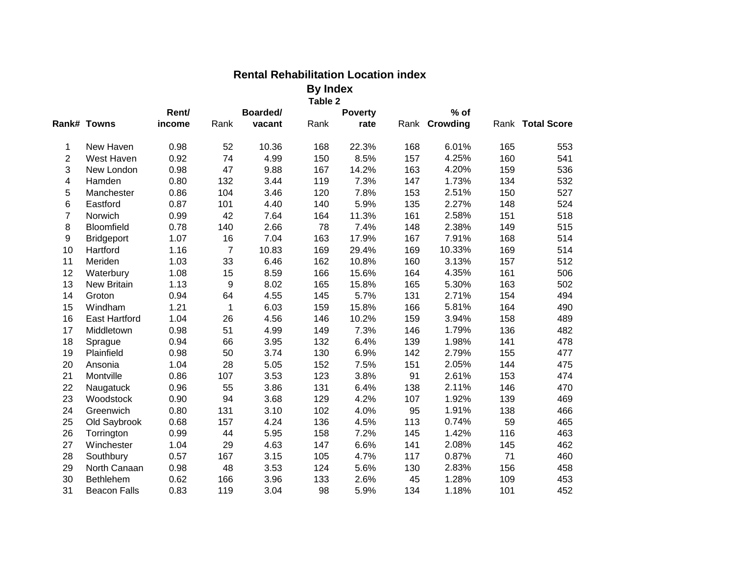|                  |                      |        |                |        | Table 2 |                |     |               |     |                  |
|------------------|----------------------|--------|----------------|--------|---------|----------------|-----|---------------|-----|------------------|
|                  |                      | Rent/  | Boarded/       |        |         | <b>Poverty</b> |     | $%$ of        |     |                  |
|                  | Rank# Towns          | income | Rank           | vacant | Rank    | rate           |     | Rank Crowding |     | Rank Total Score |
| 1                | New Haven            | 0.98   | 52             | 10.36  | 168     | 22.3%          | 168 | 6.01%         | 165 | 553              |
| $\overline{2}$   | West Haven           | 0.92   | 74             | 4.99   | 150     | 8.5%           | 157 | 4.25%         | 160 | 541              |
| 3                | New London           | 0.98   | 47             | 9.88   | 167     | 14.2%          | 163 | 4.20%         | 159 | 536              |
| 4                | Hamden               | 0.80   | 132            | 3.44   | 119     | 7.3%           | 147 | 1.73%         | 134 | 532              |
| 5                | Manchester           | 0.86   | 104            | 3.46   | 120     | 7.8%           | 153 | 2.51%         | 150 | 527              |
| $\,6$            | Eastford             | 0.87   | 101            | 4.40   | 140     | 5.9%           | 135 | 2.27%         | 148 | 524              |
| $\overline{7}$   | Norwich              | 0.99   | 42             | 7.64   | 164     | 11.3%          | 161 | 2.58%         | 151 | 518              |
| 8                | Bloomfield           | 0.78   | 140            | 2.66   | 78      | 7.4%           | 148 | 2.38%         | 149 | 515              |
| $\boldsymbol{9}$ | <b>Bridgeport</b>    | 1.07   | 16             | 7.04   | 163     | 17.9%          | 167 | 7.91%         | 168 | 514              |
| 10               | Hartford             | 1.16   | $\overline{7}$ | 10.83  | 169     | 29.4%          | 169 | 10.33%        | 169 | 514              |
| 11               | Meriden              | 1.03   | 33             | 6.46   | 162     | 10.8%          | 160 | 3.13%         | 157 | 512              |
| 12               | Waterbury            | 1.08   | 15             | 8.59   | 166     | 15.6%          | 164 | 4.35%         | 161 | 506              |
| 13               | New Britain          | 1.13   | 9              | 8.02   | 165     | 15.8%          | 165 | 5.30%         | 163 | 502              |
| 14               | Groton               | 0.94   | 64             | 4.55   | 145     | 5.7%           | 131 | 2.71%         | 154 | 494              |
| 15               | Windham              | 1.21   | $\mathbf{1}$   | 6.03   | 159     | 15.8%          | 166 | 5.81%         | 164 | 490              |
| 16               | <b>East Hartford</b> | 1.04   | 26             | 4.56   | 146     | 10.2%          | 159 | 3.94%         | 158 | 489              |
| 17               | Middletown           | 0.98   | 51             | 4.99   | 149     | 7.3%           | 146 | 1.79%         | 136 | 482              |
| 18               | Sprague              | 0.94   | 66             | 3.95   | 132     | 6.4%           | 139 | 1.98%         | 141 | 478              |
| 19               | Plainfield           | 0.98   | 50             | 3.74   | 130     | 6.9%           | 142 | 2.79%         | 155 | 477              |
| 20               | Ansonia              | 1.04   | 28             | 5.05   | 152     | 7.5%           | 151 | 2.05%         | 144 | 475              |
| 21               | Montville            | 0.86   | 107            | 3.53   | 123     | 3.8%           | 91  | 2.61%         | 153 | 474              |
| 22               | Naugatuck            | 0.96   | 55             | 3.86   | 131     | 6.4%           | 138 | 2.11%         | 146 | 470              |
| 23               | Woodstock            | 0.90   | 94             | 3.68   | 129     | 4.2%           | 107 | 1.92%         | 139 | 469              |
| 24               | Greenwich            | 0.80   | 131            | 3.10   | 102     | 4.0%           | 95  | 1.91%         | 138 | 466              |
| 25               | Old Saybrook         | 0.68   | 157            | 4.24   | 136     | 4.5%           | 113 | 0.74%         | 59  | 465              |
| 26               | Torrington           | 0.99   | 44             | 5.95   | 158     | 7.2%           | 145 | 1.42%         | 116 | 463              |
| 27               | Winchester           | 1.04   | 29             | 4.63   | 147     | 6.6%           | 141 | 2.08%         | 145 | 462              |
| 28               | Southbury            | 0.57   | 167            | 3.15   | 105     | 4.7%           | 117 | 0.87%         | 71  | 460              |
| 29               | North Canaan         | 0.98   | 48             | 3.53   | 124     | 5.6%           | 130 | 2.83%         | 156 | 458              |
| 30               | Bethlehem            | 0.62   | 166            | 3.96   | 133     | 2.6%           | 45  | 1.28%         | 109 | 453              |
| 31               | <b>Beacon Falls</b>  | 0.83   | 119            | 3.04   | 98      | 5.9%           | 134 | 1.18%         | 101 | 452              |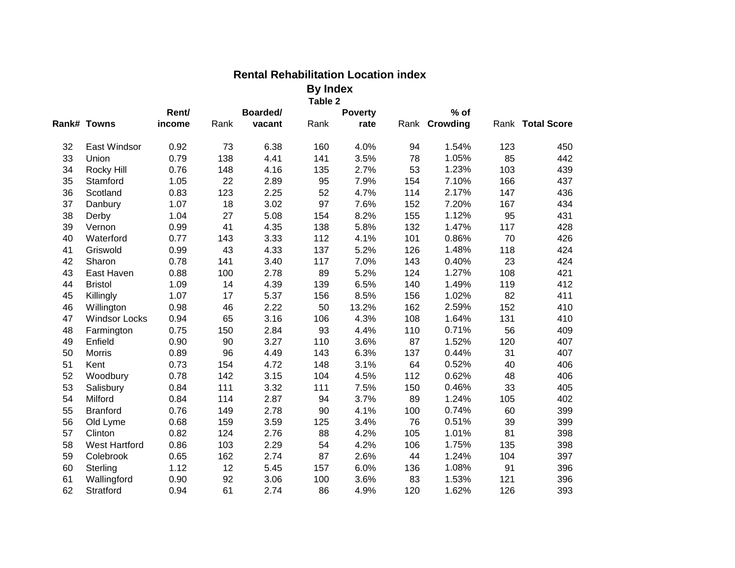|    |                      |        |          |        | Table 2 |                |     |               |     |                  |
|----|----------------------|--------|----------|--------|---------|----------------|-----|---------------|-----|------------------|
|    |                      | Rent/  | Boarded/ |        |         | <b>Poverty</b> |     | $%$ of        |     |                  |
|    | Rank# Towns          | income | Rank     | vacant | Rank    | rate           |     | Rank Crowding |     | Rank Total Score |
| 32 | East Windsor         | 0.92   | 73       | 6.38   | 160     | 4.0%           | 94  | 1.54%         | 123 | 450              |
| 33 | Union                | 0.79   | 138      | 4.41   | 141     | 3.5%           | 78  | 1.05%         | 85  | 442              |
| 34 | Rocky Hill           | 0.76   | 148      | 4.16   | 135     | 2.7%           | 53  | 1.23%         | 103 | 439              |
| 35 | Stamford             | 1.05   | 22       | 2.89   | 95      | 7.9%           | 154 | 7.10%         | 166 | 437              |
| 36 | Scotland             | 0.83   | 123      | 2.25   | 52      | 4.7%           | 114 | 2.17%         | 147 | 436              |
| 37 | Danbury              | 1.07   | 18       | 3.02   | 97      | 7.6%           | 152 | 7.20%         | 167 | 434              |
| 38 | Derby                | 1.04   | 27       | 5.08   | 154     | 8.2%           | 155 | 1.12%         | 95  | 431              |
| 39 | Vernon               | 0.99   | 41       | 4.35   | 138     | 5.8%           | 132 | 1.47%         | 117 | 428              |
| 40 | Waterford            | 0.77   | 143      | 3.33   | 112     | 4.1%           | 101 | 0.86%         | 70  | 426              |
| 41 | Griswold             | 0.99   | 43       | 4.33   | 137     | 5.2%           | 126 | 1.48%         | 118 | 424              |
| 42 | Sharon               | 0.78   | 141      | 3.40   | 117     | 7.0%           | 143 | 0.40%         | 23  | 424              |
| 43 | East Haven           | 0.88   | 100      | 2.78   | 89      | 5.2%           | 124 | 1.27%         | 108 | 421              |
| 44 | <b>Bristol</b>       | 1.09   | 14       | 4.39   | 139     | 6.5%           | 140 | 1.49%         | 119 | 412              |
| 45 | Killingly            | 1.07   | 17       | 5.37   | 156     | 8.5%           | 156 | 1.02%         | 82  | 411              |
| 46 | Willington           | 0.98   | 46       | 2.22   | 50      | 13.2%          | 162 | 2.59%         | 152 | 410              |
| 47 | <b>Windsor Locks</b> | 0.94   | 65       | 3.16   | 106     | 4.3%           | 108 | 1.64%         | 131 | 410              |
| 48 | Farmington           | 0.75   | 150      | 2.84   | 93      | 4.4%           | 110 | 0.71%         | 56  | 409              |
| 49 | Enfield              | 0.90   | 90       | 3.27   | 110     | 3.6%           | 87  | 1.52%         | 120 | 407              |
| 50 | <b>Morris</b>        | 0.89   | 96       | 4.49   | 143     | 6.3%           | 137 | 0.44%         | 31  | 407              |
| 51 | Kent                 | 0.73   | 154      | 4.72   | 148     | 3.1%           | 64  | 0.52%         | 40  | 406              |
| 52 | Woodbury             | 0.78   | 142      | 3.15   | 104     | 4.5%           | 112 | 0.62%         | 48  | 406              |
| 53 | Salisbury            | 0.84   | 111      | 3.32   | 111     | 7.5%           | 150 | 0.46%         | 33  | 405              |
| 54 | Milford              | 0.84   | 114      | 2.87   | 94      | 3.7%           | 89  | 1.24%         | 105 | 402              |
| 55 | <b>Branford</b>      | 0.76   | 149      | 2.78   | 90      | 4.1%           | 100 | 0.74%         | 60  | 399              |
| 56 | Old Lyme             | 0.68   | 159      | 3.59   | 125     | 3.4%           | 76  | 0.51%         | 39  | 399              |
| 57 | Clinton              | 0.82   | 124      | 2.76   | 88      | 4.2%           | 105 | 1.01%         | 81  | 398              |
| 58 | <b>West Hartford</b> | 0.86   | 103      | 2.29   | 54      | 4.2%           | 106 | 1.75%         | 135 | 398              |
| 59 | Colebrook            | 0.65   | 162      | 2.74   | 87      | 2.6%           | 44  | 1.24%         | 104 | 397              |
| 60 | Sterling             | 1.12   | 12       | 5.45   | 157     | 6.0%           | 136 | 1.08%         | 91  | 396              |
| 61 | Wallingford          | 0.90   | 92       | 3.06   | 100     | 3.6%           | 83  | 1.53%         | 121 | 396              |
| 62 | Stratford            | 0.94   | 61       | 2.74   | 86      | 4.9%           | 120 | 1.62%         | 126 | 393              |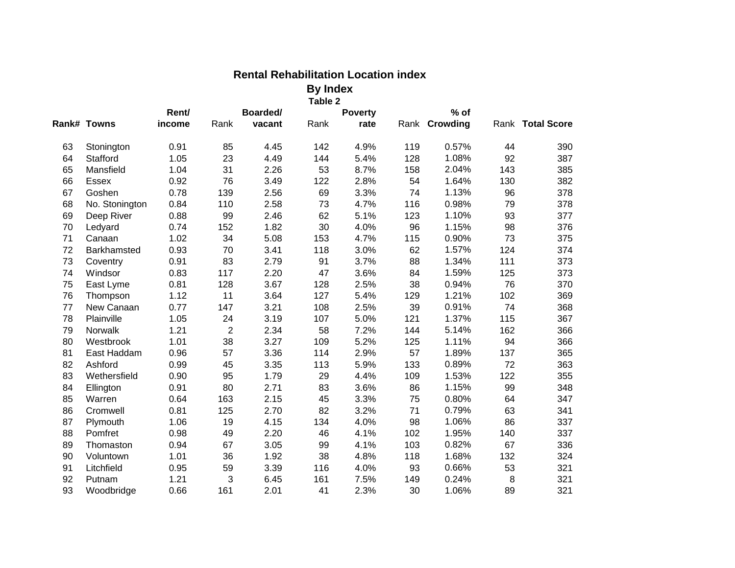|    |                |        |                |          | Table 2 |                |     |               |     |                  |
|----|----------------|--------|----------------|----------|---------|----------------|-----|---------------|-----|------------------|
|    |                | Rent/  |                | Boarded/ |         | <b>Poverty</b> |     | $%$ of        |     |                  |
|    | Rank# Towns    | income | Rank           | vacant   | Rank    | rate           |     | Rank Crowding |     | Rank Total Score |
| 63 | Stonington     | 0.91   | 85             | 4.45     | 142     | 4.9%           | 119 | 0.57%         | 44  | 390              |
| 64 | Stafford       | 1.05   | 23             | 4.49     | 144     | 5.4%           | 128 | 1.08%         | 92  | 387              |
| 65 | Mansfield      | 1.04   | 31             | 2.26     | 53      | 8.7%           | 158 | 2.04%         | 143 | 385              |
| 66 | Essex          | 0.92   | 76             | 3.49     | 122     | 2.8%           | 54  | 1.64%         | 130 | 382              |
| 67 | Goshen         | 0.78   | 139            | 2.56     | 69      | 3.3%           | 74  | 1.13%         | 96  | 378              |
| 68 | No. Stonington | 0.84   | 110            | 2.58     | 73      | 4.7%           | 116 | 0.98%         | 79  | 378              |
| 69 | Deep River     | 0.88   | 99             | 2.46     | 62      | 5.1%           | 123 | 1.10%         | 93  | 377              |
| 70 | Ledyard        | 0.74   | 152            | 1.82     | 30      | 4.0%           | 96  | 1.15%         | 98  | 376              |
| 71 | Canaan         | 1.02   | 34             | 5.08     | 153     | 4.7%           | 115 | 0.90%         | 73  | 375              |
| 72 | Barkhamsted    | 0.93   | 70             | 3.41     | 118     | 3.0%           | 62  | 1.57%         | 124 | 374              |
| 73 | Coventry       | 0.91   | 83             | 2.79     | 91      | 3.7%           | 88  | 1.34%         | 111 | 373              |
| 74 | Windsor        | 0.83   | 117            | 2.20     | 47      | 3.6%           | 84  | 1.59%         | 125 | 373              |
| 75 | East Lyme      | 0.81   | 128            | 3.67     | 128     | 2.5%           | 38  | 0.94%         | 76  | 370              |
| 76 | Thompson       | 1.12   | 11             | 3.64     | 127     | 5.4%           | 129 | 1.21%         | 102 | 369              |
| 77 | New Canaan     | 0.77   | 147            | 3.21     | 108     | 2.5%           | 39  | 0.91%         | 74  | 368              |
| 78 | Plainville     | 1.05   | 24             | 3.19     | 107     | 5.0%           | 121 | 1.37%         | 115 | 367              |
| 79 | Norwalk        | 1.21   | $\overline{2}$ | 2.34     | 58      | 7.2%           | 144 | 5.14%         | 162 | 366              |
| 80 | Westbrook      | 1.01   | 38             | 3.27     | 109     | 5.2%           | 125 | 1.11%         | 94  | 366              |
| 81 | East Haddam    | 0.96   | 57             | 3.36     | 114     | 2.9%           | 57  | 1.89%         | 137 | 365              |
| 82 | Ashford        | 0.99   | 45             | 3.35     | 113     | 5.9%           | 133 | 0.89%         | 72  | 363              |
| 83 | Wethersfield   | 0.90   | 95             | 1.79     | 29      | 4.4%           | 109 | 1.53%         | 122 | 355              |
| 84 | Ellington      | 0.91   | 80             | 2.71     | 83      | 3.6%           | 86  | 1.15%         | 99  | 348              |
| 85 | Warren         | 0.64   | 163            | 2.15     | 45      | 3.3%           | 75  | 0.80%         | 64  | 347              |
| 86 | Cromwell       | 0.81   | 125            | 2.70     | 82      | 3.2%           | 71  | 0.79%         | 63  | 341              |
| 87 | Plymouth       | 1.06   | 19             | 4.15     | 134     | 4.0%           | 98  | 1.06%         | 86  | 337              |
| 88 | Pomfret        | 0.98   | 49             | 2.20     | 46      | 4.1%           | 102 | 1.95%         | 140 | 337              |
| 89 | Thomaston      | 0.94   | 67             | 3.05     | 99      | 4.1%           | 103 | 0.82%         | 67  | 336              |
| 90 | Voluntown      | 1.01   | 36             | 1.92     | 38      | 4.8%           | 118 | 1.68%         | 132 | 324              |
| 91 | Litchfield     | 0.95   | 59             | 3.39     | 116     | 4.0%           | 93  | 0.66%         | 53  | 321              |
| 92 | Putnam         | 1.21   | 3              | 6.45     | 161     | 7.5%           | 149 | 0.24%         | 8   | 321              |
| 93 | Woodbridge     | 0.66   | 161            | 2.01     | 41      | 2.3%           | 30  | 1.06%         | 89  | 321              |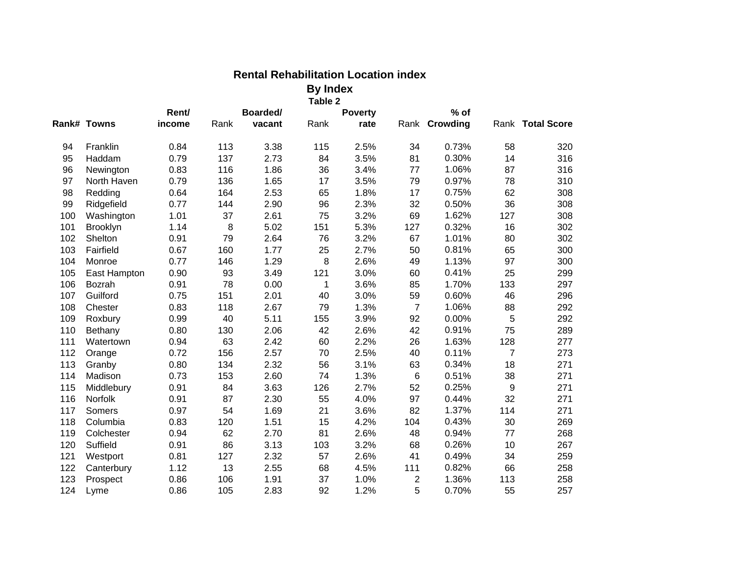|     |                |        |      |          | Table 2 |                |                 |               |                |                  |
|-----|----------------|--------|------|----------|---------|----------------|-----------------|---------------|----------------|------------------|
|     |                | Rent/  |      | Boarded/ |         | <b>Poverty</b> |                 | $%$ of        |                |                  |
|     | Rank# Towns    | income | Rank | vacant   | Rank    | rate           |                 | Rank Crowding |                | Rank Total Score |
| 94  | Franklin       | 0.84   | 113  | 3.38     | 115     | 2.5%           | 34              | 0.73%         | 58             | 320              |
| 95  | Haddam         | 0.79   | 137  | 2.73     | 84      | 3.5%           | 81              | 0.30%         | 14             | 316              |
| 96  | Newington      | 0.83   | 116  | 1.86     | 36      | 3.4%           | 77              | 1.06%         | 87             | 316              |
| 97  | North Haven    | 0.79   | 136  | 1.65     | 17      | 3.5%           | 79              | 0.97%         | 78             | 310              |
| 98  | Redding        | 0.64   | 164  | 2.53     | 65      | 1.8%           | 17              | 0.75%         | 62             | 308              |
| 99  | Ridgefield     | 0.77   | 144  | 2.90     | 96      | 2.3%           | 32              | 0.50%         | 36             | 308              |
| 100 | Washington     | 1.01   | 37   | 2.61     | 75      | 3.2%           | 69              | 1.62%         | 127            | 308              |
| 101 | Brooklyn       | 1.14   | 8    | 5.02     | 151     | 5.3%           | 127             | 0.32%         | 16             | 302              |
| 102 | Shelton        | 0.91   | 79   | 2.64     | 76      | 3.2%           | 67              | 1.01%         | 80             | 302              |
| 103 | Fairfield      | 0.67   | 160  | 1.77     | 25      | 2.7%           | 50              | 0.81%         | 65             | 300              |
| 104 | Monroe         | 0.77   | 146  | 1.29     | 8       | 2.6%           | 49              | 1.13%         | 97             | 300              |
| 105 | East Hampton   | 0.90   | 93   | 3.49     | 121     | 3.0%           | 60              | 0.41%         | 25             | 299              |
| 106 | Bozrah         | 0.91   | 78   | 0.00     | 1       | 3.6%           | 85              | 1.70%         | 133            | 297              |
| 107 | Guilford       | 0.75   | 151  | 2.01     | 40      | 3.0%           | 59              | 0.60%         | 46             | 296              |
| 108 | Chester        | 0.83   | 118  | 2.67     | 79      | 1.3%           | $\overline{7}$  | 1.06%         | 88             | 292              |
| 109 | Roxbury        | 0.99   | 40   | 5.11     | 155     | 3.9%           | 92              | 0.00%         | 5              | 292              |
| 110 | Bethany        | 0.80   | 130  | 2.06     | 42      | 2.6%           | 42              | 0.91%         | 75             | 289              |
| 111 | Watertown      | 0.94   | 63   | 2.42     | 60      | 2.2%           | 26              | 1.63%         | 128            | 277              |
| 112 | Orange         | 0.72   | 156  | 2.57     | 70      | 2.5%           | 40              | 0.11%         | $\overline{7}$ | 273              |
| 113 | Granby         | 0.80   | 134  | 2.32     | 56      | 3.1%           | 63              | 0.34%         | 18             | 271              |
| 114 | Madison        | 0.73   | 153  | 2.60     | 74      | 1.3%           | $6\phantom{1}6$ | 0.51%         | 38             | 271              |
| 115 | Middlebury     | 0.91   | 84   | 3.63     | 126     | 2.7%           | 52              | 0.25%         | 9              | 271              |
| 116 | <b>Norfolk</b> | 0.91   | 87   | 2.30     | 55      | 4.0%           | 97              | 0.44%         | 32             | 271              |
| 117 | Somers         | 0.97   | 54   | 1.69     | 21      | 3.6%           | 82              | 1.37%         | 114            | 271              |
| 118 | Columbia       | 0.83   | 120  | 1.51     | 15      | 4.2%           | 104             | 0.43%         | 30             | 269              |
| 119 | Colchester     | 0.94   | 62   | 2.70     | 81      | 2.6%           | 48              | 0.94%         | 77             | 268              |
| 120 | Suffield       | 0.91   | 86   | 3.13     | 103     | 3.2%           | 68              | 0.26%         | 10             | 267              |
| 121 | Westport       | 0.81   | 127  | 2.32     | 57      | 2.6%           | 41              | 0.49%         | 34             | 259              |
| 122 | Canterbury     | 1.12   | 13   | 2.55     | 68      | 4.5%           | 111             | 0.82%         | 66             | 258              |
| 123 | Prospect       | 0.86   | 106  | 1.91     | 37      | 1.0%           | 2               | 1.36%         | 113            | 258              |
| 124 | Lyme           | 0.86   | 105  | 2.83     | 92      | 1.2%           | 5               | 0.70%         | 55             | 257              |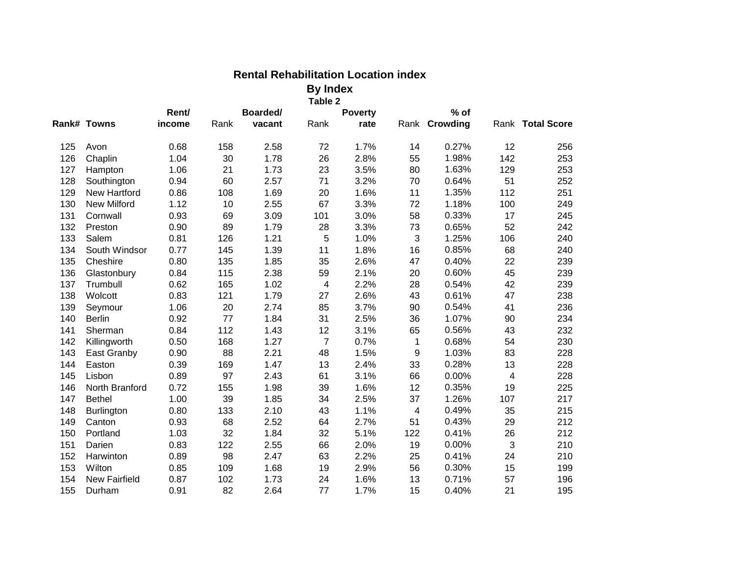|     |                      |        |          |        | Table 2        |                |     |               |     |                  |
|-----|----------------------|--------|----------|--------|----------------|----------------|-----|---------------|-----|------------------|
|     |                      | Rent/  | Boarded/ |        |                | <b>Poverty</b> |     | $%$ of        |     |                  |
|     | Rank# Towns          | income | Rank     | vacant | Rank           | rate           |     | Rank Crowding |     | Rank Total Score |
| 125 | Avon                 | 0.68   | 158      | 2.58   | 72             | 1.7%           | 14  | 0.27%         | 12  | 256              |
| 126 | Chaplin              | 1.04   | 30       | 1.78   | 26             | 2.8%           | 55  | 1.98%         | 142 | 253              |
| 127 | Hampton              | 1.06   | 21       | 1.73   | 23             | 3.5%           | 80  | 1.63%         | 129 | 253              |
| 128 | Southington          | 0.94   | 60       | 2.57   | 71             | 3.2%           | 70  | 0.64%         | 51  | 252              |
| 129 | New Hartford         | 0.86   | 108      | 1.69   | 20             | 1.6%           | 11  | 1.35%         | 112 | 251              |
| 130 | New Milford          | 1.12   | 10       | 2.55   | 67             | 3.3%           | 72  | 1.18%         | 100 | 249              |
| 131 | Cornwall             | 0.93   | 69       | 3.09   | 101            | 3.0%           | 58  | 0.33%         | 17  | 245              |
| 132 | Preston              | 0.90   | 89       | 1.79   | 28             | 3.3%           | 73  | 0.65%         | 52  | 242              |
| 133 | Salem                | 0.81   | 126      | 1.21   | 5              | 1.0%           | 3   | 1.25%         | 106 | 240              |
| 134 | South Windsor        | 0.77   | 145      | 1.39   | 11             | 1.8%           | 16  | 0.85%         | 68  | 240              |
| 135 | Cheshire             | 0.80   | 135      | 1.85   | 35             | 2.6%           | 47  | 0.40%         | 22  | 239              |
| 136 | Glastonbury          | 0.84   | 115      | 2.38   | 59             | 2.1%           | 20  | 0.60%         | 45  | 239              |
| 137 | Trumbull             | 0.62   | 165      | 1.02   | $\overline{4}$ | 2.2%           | 28  | 0.54%         | 42  | 239              |
| 138 | Wolcott              | 0.83   | 121      | 1.79   | 27             | 2.6%           | 43  | 0.61%         | 47  | 238              |
| 139 | Seymour              | 1.06   | 20       | 2.74   | 85             | 3.7%           | 90  | 0.54%         | 41  | 236              |
| 140 | <b>Berlin</b>        | 0.92   | 77       | 1.84   | 31             | 2.5%           | 36  | 1.07%         | 90  | 234              |
| 141 | Sherman              | 0.84   | 112      | 1.43   | 12             | 3.1%           | 65  | 0.56%         | 43  | 232              |
| 142 | Killingworth         | 0.50   | 168      | 1.27   | $\overline{7}$ | 0.7%           | 1   | 0.68%         | 54  | 230              |
| 143 | East Granby          | 0.90   | 88       | 2.21   | 48             | 1.5%           | 9   | 1.03%         | 83  | 228              |
| 144 | Easton               | 0.39   | 169      | 1.47   | 13             | 2.4%           | 33  | 0.28%         | 13  | 228              |
| 145 | Lisbon               | 0.89   | 97       | 2.43   | 61             | 3.1%           | 66  | 0.00%         | 4   | 228              |
| 146 | North Branford       | 0.72   | 155      | 1.98   | 39             | 1.6%           | 12  | 0.35%         | 19  | 225              |
| 147 | <b>Bethel</b>        | 1.00   | 39       | 1.85   | 34             | 2.5%           | 37  | 1.26%         | 107 | 217              |
| 148 | <b>Burlington</b>    | 0.80   | 133      | 2.10   | 43             | 1.1%           | 4   | 0.49%         | 35  | 215              |
| 149 | Canton               | 0.93   | 68       | 2.52   | 64             | 2.7%           | 51  | 0.43%         | 29  | 212              |
| 150 | Portland             | 1.03   | 32       | 1.84   | 32             | 5.1%           | 122 | 0.41%         | 26  | 212              |
| 151 | Darien               | 0.83   | 122      | 2.55   | 66             | 2.0%           | 19  | 0.00%         | 3   | 210              |
| 152 | Harwinton            | 0.89   | 98       | 2.47   | 63             | 2.2%           | 25  | 0.41%         | 24  | 210              |
| 153 | Wilton               | 0.85   | 109      | 1.68   | 19             | 2.9%           | 56  | 0.30%         | 15  | 199              |
| 154 | <b>New Fairfield</b> | 0.87   | 102      | 1.73   | 24             | 1.6%           | 13  | 0.71%         | 57  | 196              |
| 155 | Durham               | 0.91   | 82       | 2.64   | 77             | 1.7%           | 15  | 0.40%         | 21  | 195              |